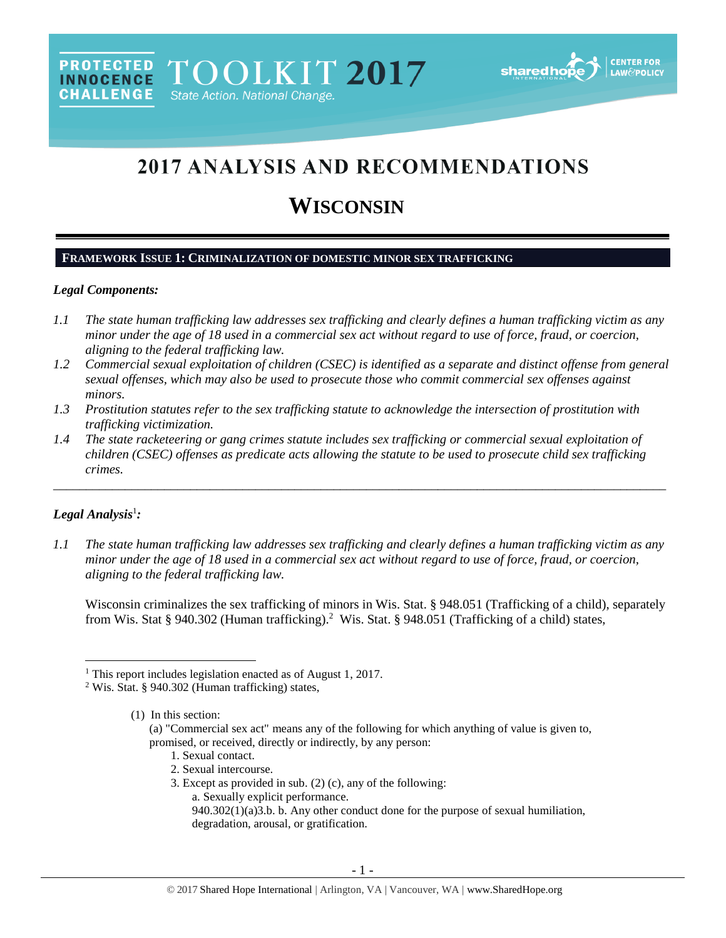# 2017 ANALYSIS AND RECOMMENDATIONS

# **WISCONSIN**

# **FRAMEWORK ISSUE 1: CRIMINALIZATION OF DOMESTIC MINOR SEX TRAFFICKING**

#### *Legal Components:*

- *1.1 The state human trafficking law addresses sex trafficking and clearly defines a human trafficking victim as any minor under the age of 18 used in a commercial sex act without regard to use of force, fraud, or coercion, aligning to the federal trafficking law.*
- *1.2 Commercial sexual exploitation of children (CSEC) is identified as a separate and distinct offense from general sexual offenses, which may also be used to prosecute those who commit commercial sex offenses against minors.*
- *1.3 Prostitution statutes refer to the sex trafficking statute to acknowledge the intersection of prostitution with trafficking victimization.*
- *1.4 The state racketeering or gang crimes statute includes sex trafficking or commercial sexual exploitation of children (CSEC) offenses as predicate acts allowing the statute to be used to prosecute child sex trafficking crimes.*

\_\_\_\_\_\_\_\_\_\_\_\_\_\_\_\_\_\_\_\_\_\_\_\_\_\_\_\_\_\_\_\_\_\_\_\_\_\_\_\_\_\_\_\_\_\_\_\_\_\_\_\_\_\_\_\_\_\_\_\_\_\_\_\_\_\_\_\_\_\_\_\_\_\_\_\_\_\_\_\_\_\_\_\_\_\_\_\_\_\_\_\_\_\_

#### *Legal Analysis*<sup>1</sup> *:*

 $\overline{\phantom{a}}$ 

*1.1 The state human trafficking law addresses sex trafficking and clearly defines a human trafficking victim as any minor under the age of 18 used in a commercial sex act without regard to use of force, fraud, or coercion, aligning to the federal trafficking law.*

Wisconsin criminalizes the sex trafficking of minors in Wis. Stat. § 948.051 (Trafficking of a child), separately from Wis. Stat § 940.302 (Human trafficking).<sup>2</sup> Wis. Stat. § 948.051 (Trafficking of a child) states,

- <span id="page-0-0"></span>1. Sexual contact.
- 2. Sexual intercourse.
- 3. Except as provided in sub. [\(2\) \(c\),](http://docs.legis.wisconsin.gov/document/statutes/940.302%282%29%28c%29) any of the following:
	- a. Sexually explicit performance.
	- 940.302(1)(a)3.b. b. Any other conduct done for the purpose of sexual humiliation, degradation, arousal, or gratification.

<sup>&</sup>lt;sup>1</sup> This report includes legislation enacted as of August 1, 2017.

<sup>2</sup> Wis. Stat. § 940.302 (Human trafficking) states,

<sup>(1)</sup> In this section:

<sup>(</sup>a) "Commercial sex act" means any of the following for which anything of value is given to, promised, or received, directly or indirectly, by any person: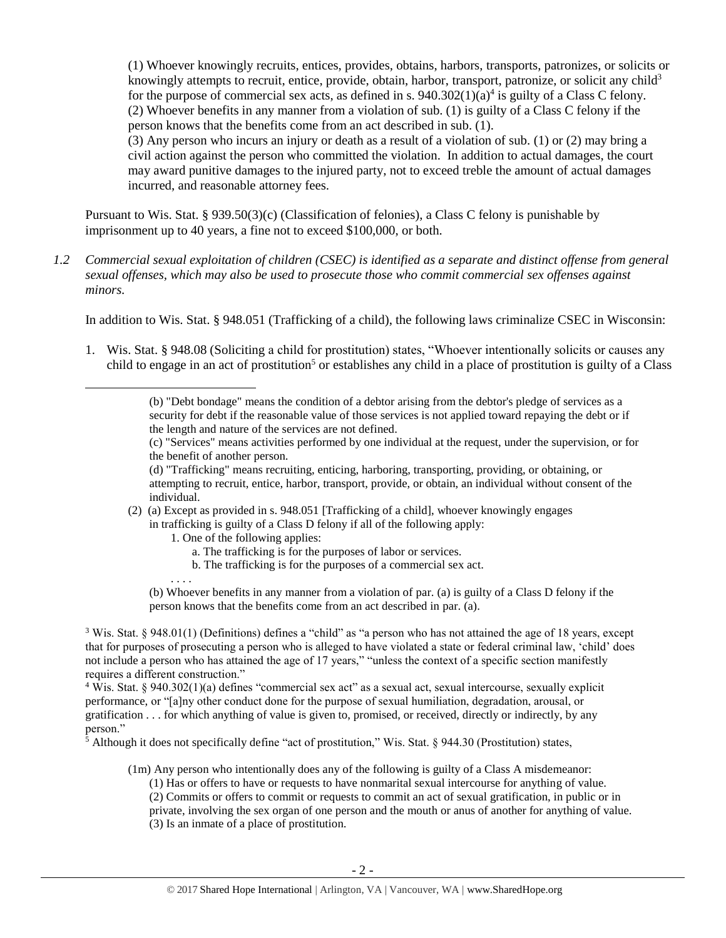<span id="page-1-0"></span>(1) Whoever knowingly recruits, entices, provides, obtains, harbors, transports, patronizes, or solicits or knowingly attempts to recruit, entice, provide, obtain, harbor, transport, patronize, or solicit any child<sup>3</sup> for the purpose of commercial sex acts, as defined in s.  $940.302(1)(a)^4$  is guilty of a Class C felony. (2) Whoever benefits in any manner from a violation of sub. (1) is guilty of a Class C felony if the person knows that the benefits come from an act described in sub. (1).

(3) Any person who incurs an injury or death as a result of a violation of sub. (1) or (2) may bring a civil action against the person who committed the violation. In addition to actual damages, the court may award punitive damages to the injured party, not to exceed treble the amount of actual damages incurred, and reasonable attorney fees.

Pursuant to Wis. Stat. § 939.50(3)(c) (Classification of felonies), a Class C felony is punishable by imprisonment up to 40 years, a fine not to exceed \$100,000, or both.

*1.2 Commercial sexual exploitation of children (CSEC) is identified as a separate and distinct offense from general sexual offenses, which may also be used to prosecute those who commit commercial sex offenses against minors.*

In addition to Wis. Stat. § 948.051 (Trafficking of a child), the following laws criminalize CSEC in Wisconsin:

1. Wis. Stat. § 948.08 (Soliciting a child for prostitution) states, "Whoever intentionally solicits or causes any child to engage in an act of prostitution<sup>5</sup> or establishes any child in a place of prostitution is guilty of a Class

(c) "Services" means activities performed by one individual at the request, under the supervision, or for the benefit of another person.

(d) "Trafficking" means recruiting, enticing, harboring, transporting, providing, or obtaining, or attempting to recruit, entice, harbor, transport, provide, or obtain, an individual without consent of the individual.

- (2) (a) Except as provided in s. 948.051 [Trafficking of a child], whoever knowingly engages
	- in trafficking is guilty of a Class D felony if all of the following apply:
		- 1. One of the following applies:

. . . .

 $\overline{\phantom{a}}$ 

- a. The trafficking is for the purposes of labor or services.
- b. The trafficking is for the purposes of a commercial sex act.

(b) Whoever benefits in any manner from a violation of par. (a) is guilty of a Class D felony if the person knows that the benefits come from an act described in par. (a).

 $3$  Wis. Stat. § 948.01(1) (Definitions) defines a "child" as "a person who has not attained the age of 18 years, except that for purposes of prosecuting a person who is alleged to have violated a state or federal criminal law, 'child' does not include a person who has attained the age of 17 years," "unless the context of a specific section manifestly requires a different construction."

<sup>4</sup> Wis. Stat. § 940.302(1)(a) defines "commercial sex act" as a sexual act, sexual intercourse, sexually explicit performance, or "[a]ny other conduct done for the purpose of sexual humiliation, degradation, arousal, or gratification . . . for which anything of value is given to, promised, or received, directly or indirectly, by any person."

 $\frac{1}{5}$  Although it does not specifically define "act of prostitution," Wis. Stat. § 944.30 (Prostitution) states,

(1m) Any person who intentionally does any of the following is guilty of a Class A misdemeanor:

- (1) Has or offers to have or requests to have nonmarital sexual intercourse for anything of value.
- (2) Commits or offers to commit or requests to commit an act of sexual gratification, in public or in

private, involving the sex organ of one person and the mouth or anus of another for anything of value.

(3) Is an inmate of a place of prostitution.

<sup>(</sup>b) "Debt bondage" means the condition of a debtor arising from the debtor's pledge of services as a security for debt if the reasonable value of those services is not applied toward repaying the debt or if the length and nature of the services are not defined.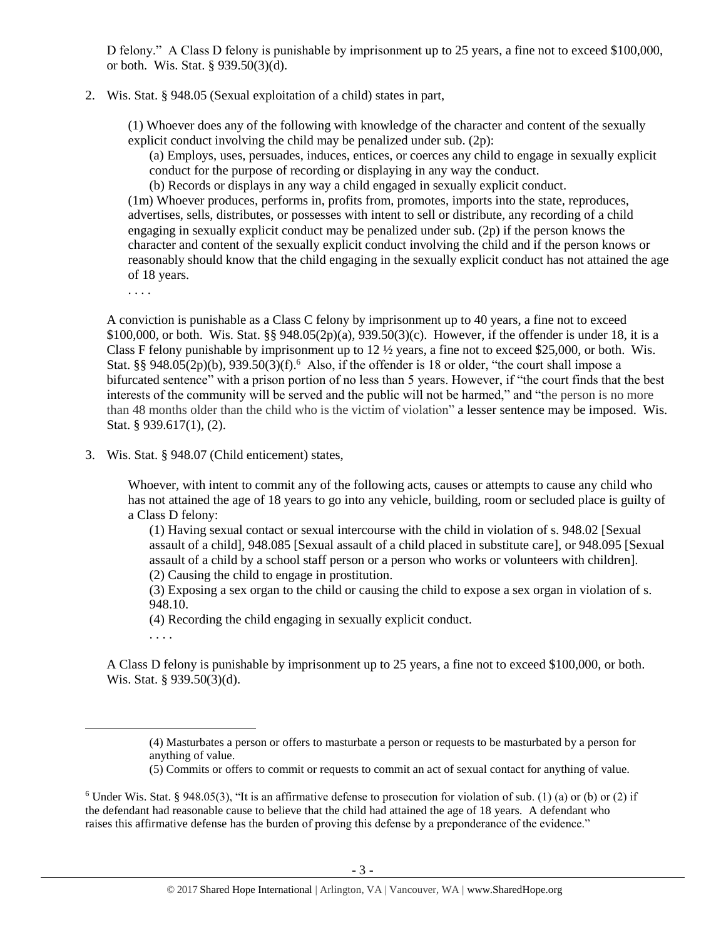D felony." A Class D felony is punishable by imprisonment up to 25 years, a fine not to exceed \$100,000, or both. Wis. Stat. § 939.50(3)(d).

2. Wis. Stat. § 948.05 (Sexual exploitation of a child) states in part,

(1) Whoever does any of the following with knowledge of the character and content of the sexually explicit conduct involving the child may be penalized under sub. (2p):

(a) Employs, uses, persuades, induces, entices, or coerces any child to engage in sexually explicit conduct for the purpose of recording or displaying in any way the conduct.

(b) Records or displays in any way a child engaged in sexually explicit conduct.

(1m) Whoever produces, performs in, profits from, promotes, imports into the state, reproduces, advertises, sells, distributes, or possesses with intent to sell or distribute, any recording of a child engaging in sexually explicit conduct may be penalized under sub. (2p) if the person knows the character and content of the sexually explicit conduct involving the child and if the person knows or reasonably should know that the child engaging in the sexually explicit conduct has not attained the age of 18 years.

. . . .

A conviction is punishable as a Class C felony by imprisonment up to 40 years, a fine not to exceed \$100,000, or both. Wis. Stat. §§ 948.05(2p)(a), 939.50(3)(c). However, if the offender is under 18, it is a Class F felony punishable by imprisonment up to  $12 \frac{1}{2}$  years, a fine not to exceed \$25,000, or both. Wis. Stat. §§ 948.05(2p)(b), 939.50(3)(f).<sup>6</sup> Also, if the offender is 18 or older, "the court shall impose a bifurcated sentence" with a prison portion of no less than 5 years. However, if "the court finds that the best interests of the community will be served and the public will not be harmed," and "the person is no more than 48 months older than the child who is the victim of violation" a lesser sentence may be imposed. Wis. Stat. § 939.617(1), (2).

3. Wis. Stat. § 948.07 (Child enticement) states,

Whoever, with intent to commit any of the following acts, causes or attempts to cause any child who has not attained the age of 18 years to go into any vehicle, building, room or secluded place is guilty of a Class D felony:

(1) Having sexual contact or sexual intercourse with the child in violation of s. 948.02 [Sexual assault of a child], 948.085 [Sexual assault of a child placed in substitute care], or 948.095 [Sexual assault of a child by a school staff person or a person who works or volunteers with children]. (2) Causing the child to engage in prostitution.

(3) Exposing a sex organ to the child or causing the child to expose a sex organ in violation of s. 948.10.

(4) Recording the child engaging in sexually explicit conduct.

. . . .

l

A Class D felony is punishable by imprisonment up to 25 years, a fine not to exceed \$100,000, or both. Wis. Stat. § 939.50(3)(d).

<sup>(4)</sup> Masturbates a person or offers to masturbate a person or requests to be masturbated by a person for anything of value.

<sup>(5)</sup> Commits or offers to commit or requests to commit an act of sexual contact for anything of value.

<sup>&</sup>lt;sup>6</sup> Under Wis. Stat. § 948.05(3), "It is an affirmative defense to prosecution for violation of sub. (1) (a) or (b) or (2) if the defendant had reasonable cause to believe that the child had attained the age of 18 years. A defendant who raises this affirmative defense has the burden of proving this defense by a preponderance of the evidence."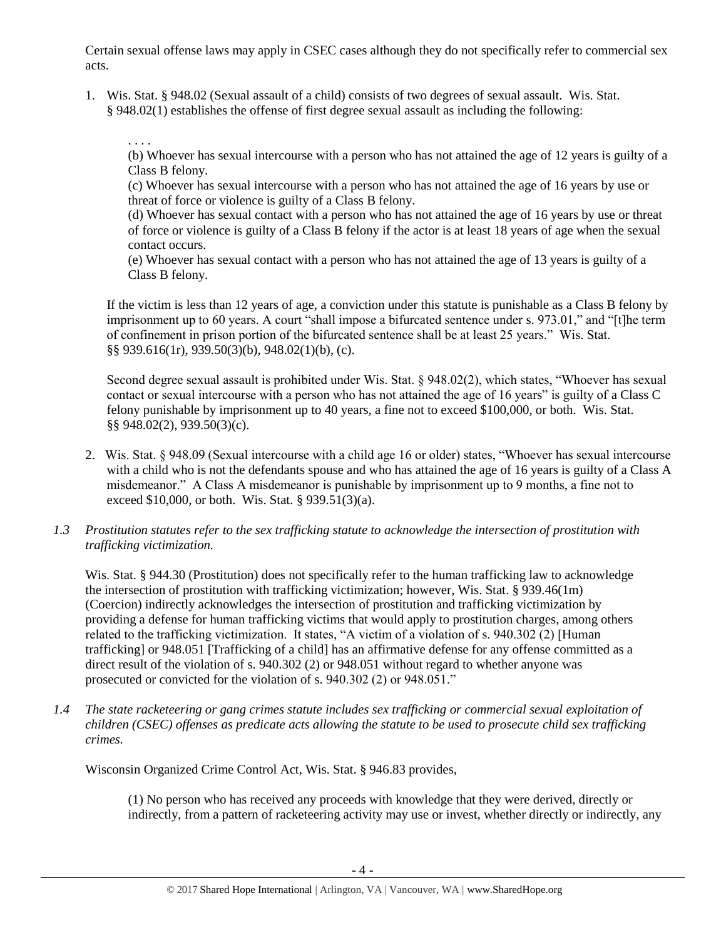Certain sexual offense laws may apply in CSEC cases although they do not specifically refer to commercial sex acts.

1. Wis. Stat. § 948.02 (Sexual assault of a child) consists of two degrees of sexual assault. Wis. Stat. § 948.02(1) establishes the offense of first degree sexual assault as including the following:

. . . .

(b) Whoever has sexual intercourse with a person who has not attained the age of 12 years is guilty of a Class B felony.

(c) Whoever has sexual intercourse with a person who has not attained the age of 16 years by use or threat of force or violence is guilty of a Class B felony.

(d) Whoever has sexual contact with a person who has not attained the age of 16 years by use or threat of force or violence is guilty of a Class B felony if the actor is at least 18 years of age when the sexual contact occurs.

(e) Whoever has sexual contact with a person who has not attained the age of 13 years is guilty of a Class B felony.

If the victim is less than 12 years of age, a conviction under this statute is punishable as a Class B felony by imprisonment up to 60 years. A court "shall impose a bifurcated sentence under s. 973.01," and "[t]he term of confinement in prison portion of the bifurcated sentence shall be at least 25 years." Wis. Stat. §§ 939.616(1r), 939.50(3)(b), 948.02(1)(b), (c).

Second degree sexual assault is prohibited under Wis. Stat. § 948.02(2), which states, "Whoever has sexual contact or sexual intercourse with a person who has not attained the age of 16 years" is guilty of a Class C felony punishable by imprisonment up to 40 years, a fine not to exceed \$100,000, or both. Wis. Stat. §§ 948.02(2), 939.50(3)(c).

- 2. Wis. Stat. § 948.09 (Sexual intercourse with a child age 16 or older) states, "Whoever has sexual intercourse with a child who is not the defendants spouse and who has attained the age of 16 years is guilty of a Class A misdemeanor." A Class A misdemeanor is punishable by imprisonment up to 9 months, a fine not to exceed \$10,000, or both. Wis. Stat. § 939.51(3)(a).
- *1.3 Prostitution statutes refer to the sex trafficking statute to acknowledge the intersection of prostitution with trafficking victimization.*

Wis. Stat. § 944.30 (Prostitution) does not specifically refer to the human trafficking law to acknowledge the intersection of prostitution with trafficking victimization; however, Wis. Stat. § 939.46(1m) (Coercion) indirectly acknowledges the intersection of prostitution and trafficking victimization by providing a defense for human trafficking victims that would apply to prostitution charges, among others related to the trafficking victimization. It states, "A victim of a violation of s. 940.302 (2) [Human trafficking] or 948.051 [Trafficking of a child] has an affirmative defense for any offense committed as a direct result of the violation of s. 940.302 (2) or 948.051 without regard to whether anyone was prosecuted or convicted for the violation of s. 940.302 (2) or 948.051."

*1.4 The state racketeering or gang crimes statute includes sex trafficking or commercial sexual exploitation of children (CSEC) offenses as predicate acts allowing the statute to be used to prosecute child sex trafficking crimes.* 

Wisconsin Organized Crime Control Act, Wis. Stat. § 946.83 provides,

(1) No person who has received any proceeds with knowledge that they were derived, directly or indirectly, from a pattern of racketeering activity may use or invest, whether directly or indirectly, any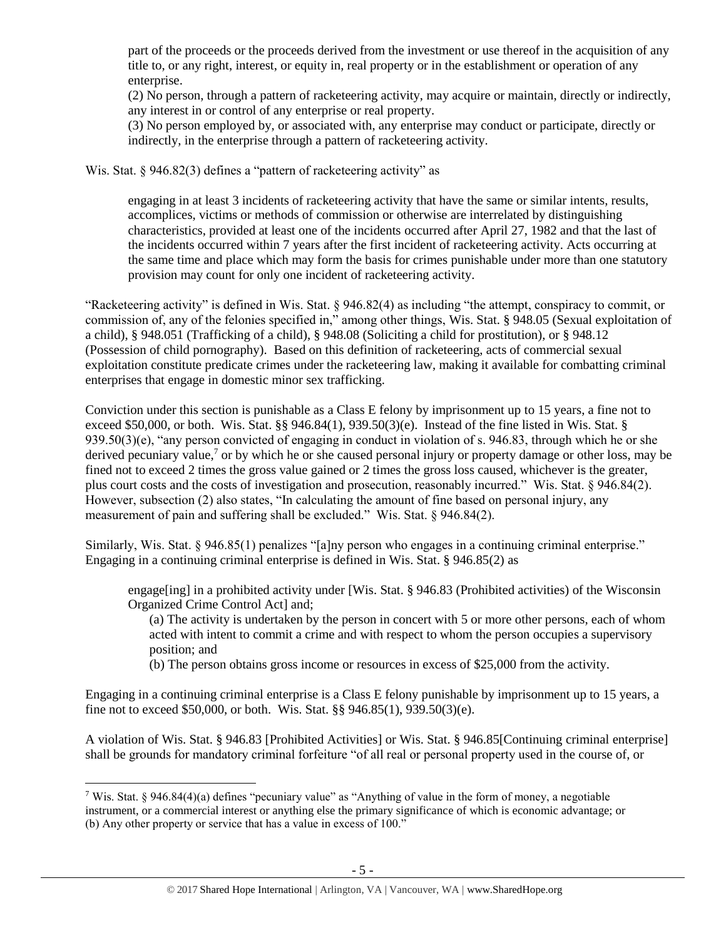part of the proceeds or the proceeds derived from the investment or use thereof in the acquisition of any title to, or any right, interest, or equity in, real property or in the establishment or operation of any enterprise.

(2) No person, through a pattern of racketeering activity, may acquire or maintain, directly or indirectly, any interest in or control of any enterprise or real property.

(3) No person employed by, or associated with, any enterprise may conduct or participate, directly or indirectly, in the enterprise through a pattern of racketeering activity.

Wis. Stat. § 946.82(3) defines a "pattern of racketeering activity" as

engaging in at least 3 incidents of racketeering activity that have the same or similar intents, results, accomplices, victims or methods of commission or otherwise are interrelated by distinguishing characteristics, provided at least one of the incidents occurred after April 27, 1982 and that the last of the incidents occurred within 7 years after the first incident of racketeering activity. Acts occurring at the same time and place which may form the basis for crimes punishable under more than one statutory provision may count for only one incident of racketeering activity.

"Racketeering activity" is defined in Wis. Stat. § 946.82(4) as including "the attempt, conspiracy to commit, or commission of, any of the felonies specified in," among other things, Wis. Stat. § 948.05 (Sexual exploitation of a child), § 948.051 (Trafficking of a child), § 948.08 (Soliciting a child for prostitution), or § 948.12 (Possession of child pornography). Based on this definition of racketeering, acts of commercial sexual exploitation constitute predicate crimes under the racketeering law, making it available for combatting criminal enterprises that engage in domestic minor sex trafficking.

Conviction under this section is punishable as a Class E felony by imprisonment up to 15 years, a fine not to exceed \$50,000, or both. Wis. Stat. §§ 946.84(1), 939.50(3)(e). Instead of the fine listed in Wis. Stat. §  $939.50(3)(e)$ , "any person convicted of engaging in conduct in violation of s. 946.83, through which he or she derived pecuniary value,<sup>7</sup> or by which he or she caused personal injury or property damage or other loss, may be fined not to exceed 2 times the gross value gained or 2 times the gross loss caused, whichever is the greater, plus court costs and the costs of investigation and prosecution, reasonably incurred." Wis. Stat. § 946.84(2). However, subsection (2) also states, "In calculating the amount of fine based on personal injury, any measurement of pain and suffering shall be excluded." Wis. Stat. § 946.84(2).

Similarly, Wis. Stat. § 946.85(1) penalizes "[a]ny person who engages in a continuing criminal enterprise." Engaging in a continuing criminal enterprise is defined in Wis. Stat. § 946.85(2) as

engage[ing] in a prohibited activity under [Wis. Stat. § 946.83 (Prohibited activities) of the Wisconsin Organized Crime Control Act] and;

(a) The activity is undertaken by the person in concert with 5 or more other persons, each of whom acted with intent to commit a crime and with respect to whom the person occupies a supervisory position; and

(b) The person obtains gross income or resources in excess of \$25,000 from the activity.

Engaging in a continuing criminal enterprise is a Class E felony punishable by imprisonment up to 15 years, a fine not to exceed \$50,000, or both. Wis. Stat. §§ 946.85(1), 939.50(3)(e).

A violation of Wis. Stat. § 946.83 [Prohibited Activities] or Wis. Stat. § 946.85[Continuing criminal enterprise] shall be grounds for mandatory criminal forfeiture "of all real or personal property used in the course of, or

 $\overline{\phantom{a}}$ <sup>7</sup> Wis. Stat. § 946.84(4)(a) defines "pecuniary value" as "Anything of value in the form of money, a negotiable instrument, or a commercial interest or anything else the primary significance of which is economic advantage; or (b) Any other property or service that has a value in excess of 100."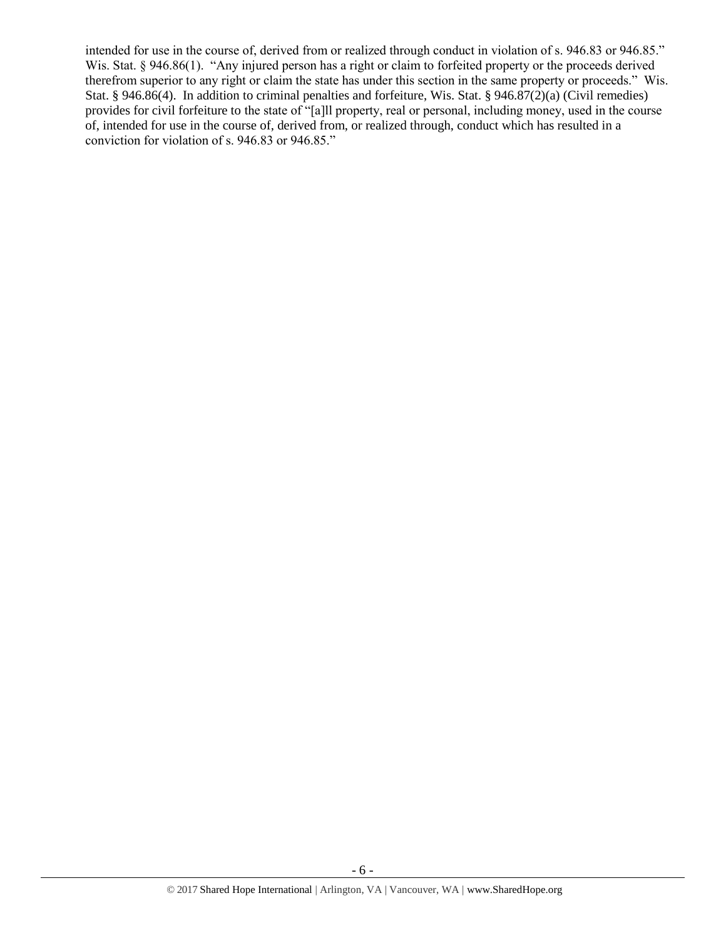intended for use in the course of, derived from or realized through conduct in violation of s. 946.83 or 946.85." Wis. Stat. § 946.86(1). "Any injured person has a right or claim to forfeited property or the proceeds derived therefrom superior to any right or claim the state has under this section in the same property or proceeds." Wis. Stat. § 946.86(4). In addition to criminal penalties and forfeiture, Wis. Stat. § 946.87(2)(a) (Civil remedies) provides for civil forfeiture to the state of "[a]ll property, real or personal, including money, used in the course of, intended for use in the course of, derived from, or realized through, conduct which has resulted in a conviction for violation of s. 946.83 or 946.85."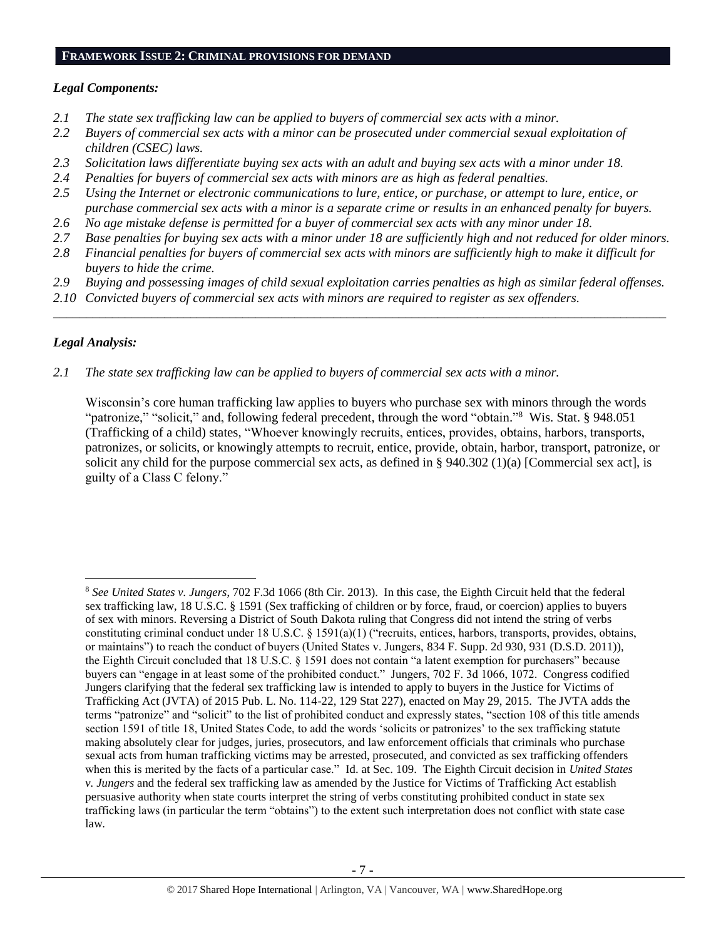#### **FRAMEWORK ISSUE 2: CRIMINAL PROVISIONS FOR DEMAND**

#### *Legal Components:*

- *2.1 The state sex trafficking law can be applied to buyers of commercial sex acts with a minor.*
- *2.2 Buyers of commercial sex acts with a minor can be prosecuted under commercial sexual exploitation of children (CSEC) laws.*
- *2.3 Solicitation laws differentiate buying sex acts with an adult and buying sex acts with a minor under 18.*
- *2.4 Penalties for buyers of commercial sex acts with minors are as high as federal penalties.*
- *2.5 Using the Internet or electronic communications to lure, entice, or purchase, or attempt to lure, entice, or purchase commercial sex acts with a minor is a separate crime or results in an enhanced penalty for buyers.*
- *2.6 No age mistake defense is permitted for a buyer of commercial sex acts with any minor under 18.*
- *2.7 Base penalties for buying sex acts with a minor under 18 are sufficiently high and not reduced for older minors.*
- *2.8 Financial penalties for buyers of commercial sex acts with minors are sufficiently high to make it difficult for buyers to hide the crime.*
- *2.9 Buying and possessing images of child sexual exploitation carries penalties as high as similar federal offenses.*

\_\_\_\_\_\_\_\_\_\_\_\_\_\_\_\_\_\_\_\_\_\_\_\_\_\_\_\_\_\_\_\_\_\_\_\_\_\_\_\_\_\_\_\_\_\_\_\_\_\_\_\_\_\_\_\_\_\_\_\_\_\_\_\_\_\_\_\_\_\_\_\_\_\_\_\_\_\_\_\_\_\_\_\_\_\_\_\_\_\_\_\_\_\_

*2.10 Convicted buyers of commercial sex acts with minors are required to register as sex offenders.* 

# *Legal Analysis:*

 $\overline{\phantom{a}}$ 

*2.1 The state sex trafficking law can be applied to buyers of commercial sex acts with a minor.*

Wisconsin's core human trafficking law applies to buyers who purchase sex with minors through the words "patronize," "solicit," and, following federal precedent, through the word "obtain."<sup>8</sup> Wis. Stat. § 948.051 (Trafficking of a child) states, "Whoever knowingly recruits, entices, provides, obtains, harbors, transports, patronizes, or solicits, or knowingly attempts to recruit, entice, provide, obtain, harbor, transport, patronize, or solicit any child for the purpose commercial sex acts, as defined in § 940.302 (1)(a) [Commercial sex act], is guilty of a Class C felony."

<sup>8</sup> *See United States v. Jungers*, 702 F.3d 1066 (8th Cir. 2013). In this case, the Eighth Circuit held that the federal sex trafficking law, 18 U.S.C. § 1591 (Sex trafficking of children or by force, fraud, or coercion) applies to buyers of sex with minors. Reversing a District of South Dakota ruling that Congress did not intend the string of verbs constituting criminal conduct under 18 U.S.C. § 1591(a)(1) ("recruits, entices, harbors, transports, provides, obtains, or maintains") to reach the conduct of buyers (United States v. Jungers, 834 F. Supp. 2d 930, 931 (D.S.D. 2011)), the Eighth Circuit concluded that 18 U.S.C. § 1591 does not contain "a latent exemption for purchasers" because buyers can "engage in at least some of the prohibited conduct." Jungers, 702 F. 3d 1066, 1072. Congress codified Jungers clarifying that the federal sex trafficking law is intended to apply to buyers in the Justice for Victims of Trafficking Act (JVTA) of 2015 Pub. L. No. 114-22, 129 Stat 227), enacted on May 29, 2015. The JVTA adds the terms "patronize" and "solicit" to the list of prohibited conduct and expressly states, "section 108 of this title amends section 1591 of title 18, United States Code, to add the words 'solicits or patronizes' to the sex trafficking statute making absolutely clear for judges, juries, prosecutors, and law enforcement officials that criminals who purchase sexual acts from human trafficking victims may be arrested, prosecuted, and convicted as sex trafficking offenders when this is merited by the facts of a particular case." Id. at Sec. 109. The Eighth Circuit decision in *United States v. Jungers* and the federal sex trafficking law as amended by the Justice for Victims of Trafficking Act establish persuasive authority when state courts interpret the string of verbs constituting prohibited conduct in state sex trafficking laws (in particular the term "obtains") to the extent such interpretation does not conflict with state case law.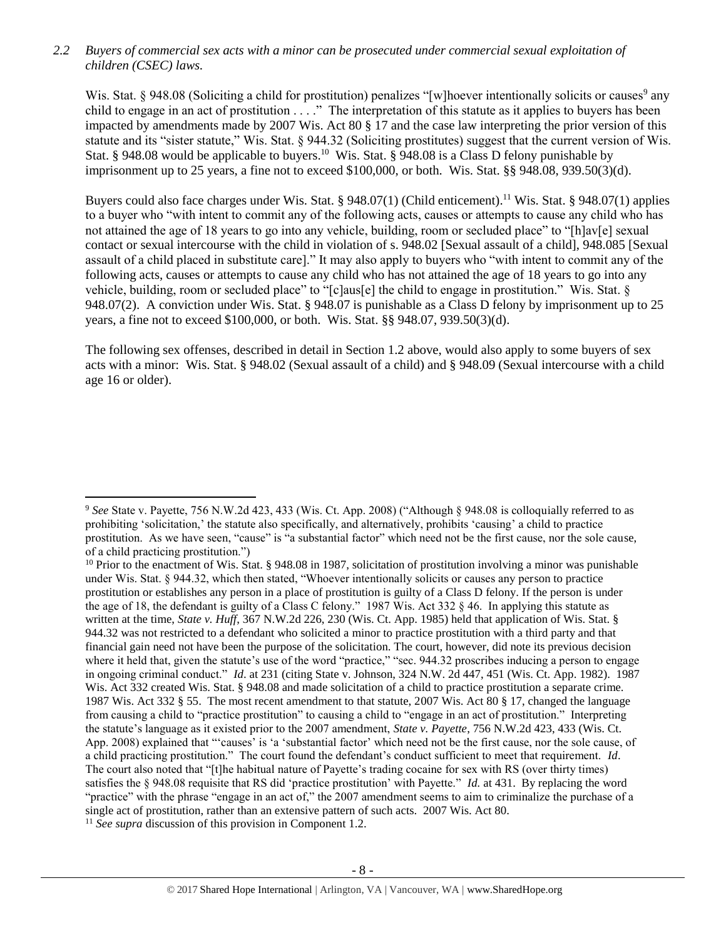*2.2 Buyers of commercial sex acts with a minor can be prosecuted under commercial sexual exploitation of children (CSEC) laws.*

Wis. Stat. § 948.08 (Soliciting a child for prostitution) penalizes "[w]hoever intentionally solicits or causes<sup>9</sup> any child to engage in an act of prostitution . . . ." The interpretation of this statute as it applies to buyers has been impacted by amendments made by 2007 Wis. Act 80 § 17 and the case law interpreting the prior version of this statute and its "sister statute," Wis. Stat. § 944.32 (Soliciting prostitutes) suggest that the current version of Wis. Stat. § 948.08 would be applicable to buyers.<sup>10</sup> Wis. Stat. § 948.08 is a Class D felony punishable by imprisonment up to 25 years, a fine not to exceed \$100,000, or both. Wis. Stat. §§ 948.08, 939.50(3)(d).

Buyers could also face charges under Wis. Stat. § 948.07(1) (Child enticement).<sup>11</sup> Wis. Stat. § 948.07(1) applies to a buyer who "with intent to commit any of the following acts, causes or attempts to cause any child who has not attained the age of 18 years to go into any vehicle, building, room or secluded place" to "[h]av[e] sexual contact or sexual intercourse with the child in violation of s. 948.02 [Sexual assault of a child], 948.085 [Sexual assault of a child placed in substitute care]." It may also apply to buyers who "with intent to commit any of the following acts, causes or attempts to cause any child who has not attained the age of 18 years to go into any vehicle, building, room or secluded place" to "[c]aus[e] the child to engage in prostitution." Wis. Stat. § 948.07(2). A conviction under Wis. Stat. § 948.07 is punishable as a Class D felony by imprisonment up to 25 years, a fine not to exceed \$100,000, or both. Wis. Stat. §§ 948.07, 939.50(3)(d).

The following sex offenses, described in detail in Section 1.2 above, would also apply to some buyers of sex acts with a minor: Wis. Stat. § 948.02 (Sexual assault of a child) and § 948.09 (Sexual intercourse with a child age 16 or older).

 $\overline{\phantom{a}}$ 

<sup>9</sup> *See* State v. Payette, 756 N.W.2d 423, 433 (Wis. Ct. App. 2008) ("Although § 948.08 is colloquially referred to as prohibiting 'solicitation,' the statute also specifically, and alternatively, prohibits 'causing' a child to practice prostitution. As we have seen, "cause" is "a substantial factor" which need not be the first cause, nor the sole cause, of a child practicing prostitution.")

<sup>&</sup>lt;sup>10</sup> Prior to the enactment of Wis. Stat. § 948.08 in 1987, solicitation of prostitution involving a minor was punishable under Wis. Stat. § 944.32, which then stated, "Whoever intentionally solicits or causes any person to practice prostitution or establishes any person in a place of prostitution is guilty of a Class D felony. If the person is under the age of 18, the defendant is guilty of a Class C felony." 1987 Wis. Act 332 § 46. In applying this statute as written at the time, *State v. Huff*, 367 N.W.2d 226, 230 (Wis. Ct. App. 1985) held that application of Wis. Stat. § 944.32 was not restricted to a defendant who solicited a minor to practice prostitution with a third party and that financial gain need not have been the purpose of the solicitation. The court, however, did note its previous decision where it held that, given the statute's use of the word "practice," "sec. 944.32 proscribes inducing a person to engage in ongoing criminal conduct." *Id*. at 231 (citing State v. Johnson, 324 N.W. 2d 447, 451 (Wis. Ct. App. 1982). 1987 Wis. Act 332 created Wis. Stat. § 948.08 and made solicitation of a child to practice prostitution a separate crime. 1987 Wis. Act 332 § 55. The most recent amendment to that statute, 2007 Wis. Act 80 § 17, changed the language from causing a child to "practice prostitution" to causing a child to "engage in an act of prostitution." Interpreting the statute's language as it existed prior to the 2007 amendment, *State v. Payette*, 756 N.W.2d 423, 433 (Wis. Ct. App. 2008) explained that "'causes' is 'a 'substantial factor' which need not be the first cause, nor the sole cause, of a child practicing prostitution." The court found the defendant's conduct sufficient to meet that requirement. *Id*. The court also noted that "[t]he habitual nature of Payette's trading cocaine for sex with RS (over thirty times) satisfies the § 948.08 requisite that RS did 'practice prostitution' with Payette." *Id.* at 431. By replacing the word "practice" with the phrase "engage in an act of," the 2007 amendment seems to aim to criminalize the purchase of a single act of prostitution, rather than an extensive pattern of such acts. 2007 Wis. Act 80.

<sup>11</sup> *See supra* discussion of this provision in Component 1.2.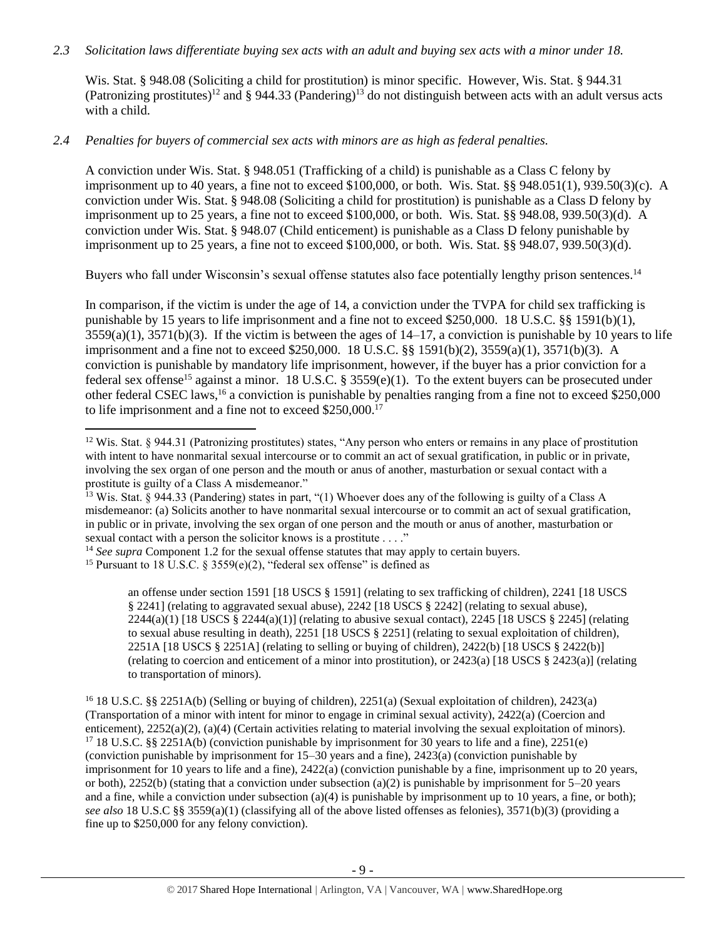#### *2.3 Solicitation laws differentiate buying sex acts with an adult and buying sex acts with a minor under 18.*

Wis. Stat. § 948.08 (Soliciting a child for prostitution) is minor specific. However, Wis. Stat. § 944.31 (Patronizing prostitutes)<sup>12</sup> and § 944.33 (Pandering)<sup>13</sup> do not distinguish between acts with an adult versus acts with a child.

# *2.4 Penalties for buyers of commercial sex acts with minors are as high as federal penalties.*

A conviction under Wis. Stat. § 948.051 (Trafficking of a child) is punishable as a Class C felony by imprisonment up to 40 years, a fine not to exceed \$100,000, or both. Wis. Stat. §§ 948.051(1), 939.50(3)(c). A conviction under Wis. Stat. § 948.08 (Soliciting a child for prostitution) is punishable as a Class D felony by imprisonment up to 25 years, a fine not to exceed \$100,000, or both. Wis. Stat. §§ 948.08, 939.50(3)(d). A conviction under Wis. Stat. § 948.07 (Child enticement) is punishable as a Class D felony punishable by imprisonment up to 25 years, a fine not to exceed \$100,000, or both. Wis. Stat. §§ 948.07, 939.50(3)(d).

Buyers who fall under Wisconsin's sexual offense statutes also face potentially lengthy prison sentences.<sup>14</sup>

In comparison, if the victim is under the age of 14, a conviction under the TVPA for child sex trafficking is punishable by 15 years to life imprisonment and a fine not to exceed \$250,000. 18 U.S.C. §§ 1591(b)(1),  $3559(a)(1)$ ,  $3571(b)(3)$ . If the victim is between the ages of  $14-17$ , a conviction is punishable by 10 years to life imprisonment and a fine not to exceed \$250,000. 18 U.S.C. §§ 1591(b)(2), 3559(a)(1), 3571(b)(3). A conviction is punishable by mandatory life imprisonment, however, if the buyer has a prior conviction for a federal sex offense<sup>15</sup> against a minor. 18 U.S.C. § 3559(e)(1). To the extent buyers can be prosecuted under other federal CSEC laws,<sup>16</sup> a conviction is punishable by penalties ranging from a fine not to exceed \$250,000 to life imprisonment and a fine not to exceed \$250,000.<sup>17</sup>

<span id="page-8-0"></span> $\overline{\phantom{a}}$ 

an offense under section 1591 [18 USCS § 1591] (relating to sex trafficking of children), 2241 [18 USCS § 2241] (relating to aggravated sexual abuse), 2242 [18 USCS § 2242] (relating to sexual abuse),  $2244(a)(1)$  [18 USCS §  $2244(a)(1)$ ] (relating to abusive sexual contact),  $2245$  [18 USCS § 2245] (relating to sexual abuse resulting in death), 2251 [18 USCS § 2251] (relating to sexual exploitation of children), 2251A [18 USCS § 2251A] (relating to selling or buying of children), 2422(b) [18 USCS § 2422(b)] (relating to coercion and enticement of a minor into prostitution), or 2423(a) [18 USCS § 2423(a)] (relating to transportation of minors).

<sup>16</sup> 18 U.S.C. §§ 2251A(b) (Selling or buying of children), 2251(a) (Sexual exploitation of children), 2423(a) (Transportation of a minor with intent for minor to engage in criminal sexual activity), 2422(a) (Coercion and enticement), 2252(a)(2), (a)(4) (Certain activities relating to material involving the sexual exploitation of minors). <sup>17</sup> 18 U.S.C. §§ 2251A(b) (conviction punishable by imprisonment for 30 years to life and a fine), 2251(e) (conviction punishable by imprisonment for 15–30 years and a fine), 2423(a) (conviction punishable by imprisonment for 10 years to life and a fine), 2422(a) (conviction punishable by a fine, imprisonment up to 20 years, or both), 2252(b) (stating that a conviction under subsection (a)(2) is punishable by imprisonment for  $5-20$  years and a fine, while a conviction under subsection (a)(4) is punishable by imprisonment up to 10 years, a fine, or both); *see also* 18 U.S.C §§ 3559(a)(1) (classifying all of the above listed offenses as felonies), 3571(b)(3) (providing a fine up to \$250,000 for any felony conviction).

<sup>&</sup>lt;sup>12</sup> Wis. Stat. § 944.31 (Patronizing prostitutes) states, "Any person who enters or remains in any place of prostitution with intent to have nonmarital sexual intercourse or to commit an act of sexual gratification, in public or in private, involving the sex organ of one person and the mouth or anus of another, masturbation or sexual contact with a prostitute is guilty of a Class A misdemeanor."

<sup>&</sup>lt;sup>13</sup> Wis. Stat. § 944.33 (Pandering) states in part, "(1) Whoever does any of the following is guilty of a Class A misdemeanor: (a) Solicits another to have nonmarital sexual intercourse or to commit an act of sexual gratification, in public or in private, involving the sex organ of one person and the mouth or anus of another, masturbation or sexual contact with a person the solicitor knows is a prostitute . . . ."

<sup>&</sup>lt;sup>14</sup> See supra Component 1.2 for the sexual offense statutes that may apply to certain buyers.

<sup>&</sup>lt;sup>15</sup> Pursuant to 18 U.S.C. § 3559(e)(2), "federal sex offense" is defined as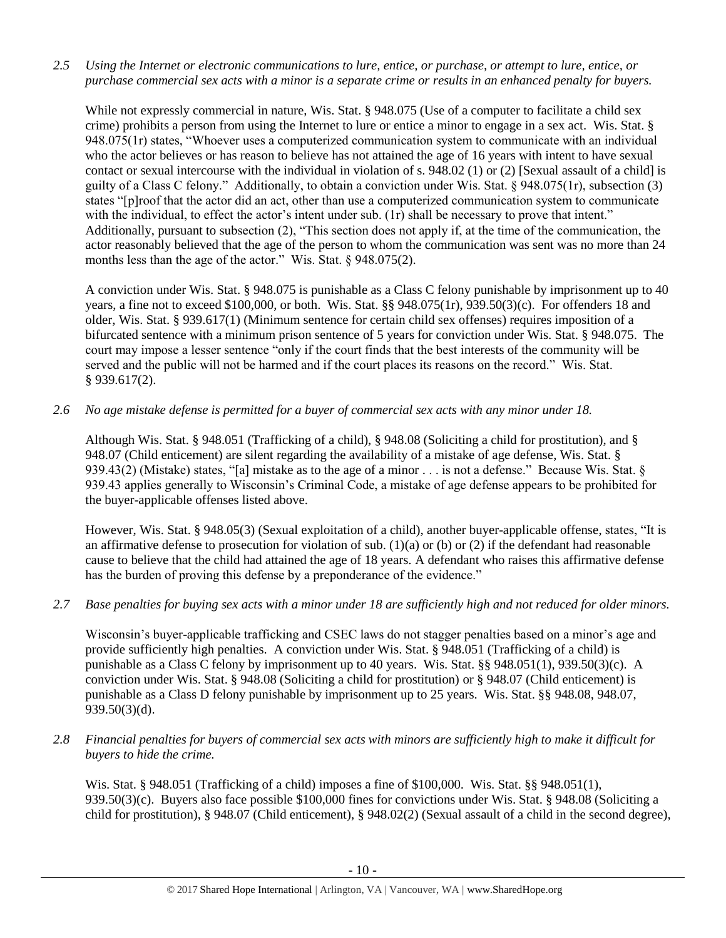*2.5 Using the Internet or electronic communications to lure, entice, or purchase, or attempt to lure, entice, or purchase commercial sex acts with a minor is a separate crime or results in an enhanced penalty for buyers.*

While not expressly commercial in nature, Wis. Stat. § 948.075 (Use of a computer to facilitate a child sex crime) prohibits a person from using the Internet to lure or entice a minor to engage in a sex act. Wis. Stat. § 948.075(1r) states, "Whoever uses a computerized communication system to communicate with an individual who the actor believes or has reason to believe has not attained the age of 16 years with intent to have sexual contact or sexual intercourse with the individual in violation of s. 948.02 (1) or (2) [Sexual assault of a child] is guilty of a Class C felony." Additionally, to obtain a conviction under Wis. Stat. § 948.075(1r), subsection (3) states "[p]roof that the actor did an act, other than use a computerized communication system to communicate with the individual, to effect the actor's intent under sub. (1r) shall be necessary to prove that intent." Additionally, pursuant to subsection (2), "This section does not apply if, at the time of the communication, the actor reasonably believed that the age of the person to whom the communication was sent was no more than 24 months less than the age of the actor." Wis. Stat. § 948.075(2).

A conviction under Wis. Stat. § 948.075 is punishable as a Class C felony punishable by imprisonment up to 40 years, a fine not to exceed \$100,000, or both. Wis. Stat. §§ 948.075(1r), 939.50(3)(c). For offenders 18 and older, Wis. Stat. § 939.617(1) (Minimum sentence for certain child sex offenses) requires imposition of a bifurcated sentence with a minimum prison sentence of 5 years for conviction under Wis. Stat. § 948.075. The court may impose a lesser sentence "only if the court finds that the best interests of the community will be served and the public will not be harmed and if the court places its reasons on the record." Wis. Stat. § 939.617(2).

*2.6 No age mistake defense is permitted for a buyer of commercial sex acts with any minor under 18.*

Although Wis. Stat. § 948.051 (Trafficking of a child), § 948.08 (Soliciting a child for prostitution), and § 948.07 (Child enticement) are silent regarding the availability of a mistake of age defense, Wis. Stat. § 939.43(2) (Mistake) states, "[a] mistake as to the age of a minor . . . is not a defense." Because Wis. Stat. § 939.43 applies generally to Wisconsin's Criminal Code, a mistake of age defense appears to be prohibited for the buyer-applicable offenses listed above.

However, Wis. Stat. § 948.05(3) (Sexual exploitation of a child), another buyer-applicable offense, states, "It is an affirmative defense to prosecution for violation of sub. (1)(a) or (b) or (2) if the defendant had reasonable cause to believe that the child had attained the age of 18 years. A defendant who raises this affirmative defense has the burden of proving this defense by a preponderance of the evidence."

#### *2.7 Base penalties for buying sex acts with a minor under 18 are sufficiently high and not reduced for older minors.*

Wisconsin's buyer-applicable trafficking and CSEC laws do not stagger penalties based on a minor's age and provide sufficiently high penalties. A conviction under Wis. Stat. § 948.051 (Trafficking of a child) is punishable as a Class C felony by imprisonment up to 40 years. Wis. Stat. §§ 948.051(1), 939.50(3)(c). A conviction under Wis. Stat. § 948.08 (Soliciting a child for prostitution) or § 948.07 (Child enticement) is punishable as a Class D felony punishable by imprisonment up to 25 years. Wis. Stat. §§ 948.08, 948.07, 939.50(3)(d).

*2.8 Financial penalties for buyers of commercial sex acts with minors are sufficiently high to make it difficult for buyers to hide the crime.* 

Wis. Stat. § 948.051 (Trafficking of a child) imposes a fine of \$100,000. Wis. Stat. §§ 948.051(1), 939.50(3)(c). Buyers also face possible \$100,000 fines for convictions under Wis. Stat. § 948.08 (Soliciting a child for prostitution), § 948.07 (Child enticement), § 948.02(2) (Sexual assault of a child in the second degree),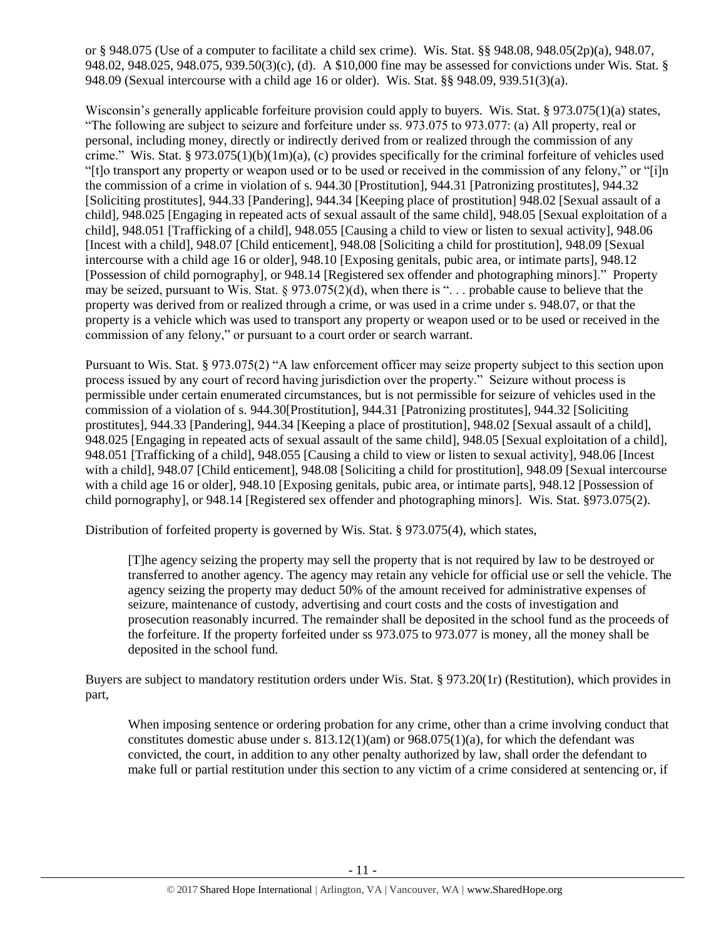or § 948.075 (Use of a computer to facilitate a child sex crime). Wis. Stat. §§ 948.08, 948.05(2p)(a), 948.07, 948.02, 948.025, 948.075, 939.50(3)(c), (d). A \$10,000 fine may be assessed for convictions under Wis. Stat. § 948.09 (Sexual intercourse with a child age 16 or older). Wis. Stat. §§ 948.09, 939.51(3)(a).

Wisconsin's generally applicable forfeiture provision could apply to buyers. Wis. Stat. § 973.075(1)(a) states, "The following are subject to seizure and forfeiture under ss. 973.075 to 973.077: (a) All property, real or personal, including money, directly or indirectly derived from or realized through the commission of any crime." Wis. Stat. §  $973.075(1)(b)(1m)(a)$ , (c) provides specifically for the criminal forfeiture of vehicles used "[t]o transport any property or weapon used or to be used or received in the commission of any felony," or "[i]n the commission of a crime in violation of s. 944.30 [Prostitution], 944.31 [Patronizing prostitutes], 944.32 [Soliciting prostitutes], 944.33 [Pandering], 944.34 [Keeping place of prostitution] 948.02 [Sexual assault of a child], 948.025 [Engaging in repeated acts of sexual assault of the same child], 948.05 [Sexual exploitation of a child], 948.051 [Trafficking of a child], 948.055 [Causing a child to view or listen to sexual activity], 948.06 [Incest with a child], 948.07 [Child enticement], 948.08 [Soliciting a child for prostitution], 948.09 [Sexual intercourse with a child age 16 or older], 948.10 [Exposing genitals, pubic area, or intimate parts], 948.12 [Possession of child pornography], or 948.14 [Registered sex offender and photographing minors]." Property may be seized, pursuant to Wis. Stat.  $\S 973.075(2)(d)$ , when there is "... probable cause to believe that the property was derived from or realized through a crime, or was used in a crime under s. 948.07, or that the property is a vehicle which was used to transport any property or weapon used or to be used or received in the commission of any felony," or pursuant to a court order or search warrant.

Pursuant to Wis. Stat. § 973.075(2) "A law enforcement officer may seize property subject to this section upon process issued by any court of record having jurisdiction over the property." Seizure without process is permissible under certain enumerated circumstances, but is not permissible for seizure of vehicles used in the commission of a violation of s. 944.30[Prostitution], 944.31 [Patronizing prostitutes], 944.32 [Soliciting prostitutes], 944.33 [Pandering], 944.34 [Keeping a place of prostitution], 948.02 [Sexual assault of a child], 948.025 [Engaging in repeated acts of sexual assault of the same child], 948.05 [Sexual exploitation of a child], 948.051 [Trafficking of a child], 948.055 [Causing a child to view or listen to sexual activity], 948.06 [Incest with a child], 948.07 [Child enticement], 948.08 [Soliciting a child for prostitution], 948.09 [Sexual intercourse with a child age 16 or older], 948.10 [Exposing genitals, pubic area, or intimate parts], 948.12 [Possession of child pornography], or 948.14 [Registered sex offender and photographing minors]. Wis. Stat. §973.075(2).

Distribution of forfeited property is governed by Wis. Stat. § 973.075(4), which states,

[T]he agency seizing the property may sell the property that is not required by law to be destroyed or transferred to another agency. The agency may retain any vehicle for official use or sell the vehicle. The agency seizing the property may deduct 50% of the amount received for administrative expenses of seizure, maintenance of custody, advertising and court costs and the costs of investigation and prosecution reasonably incurred. The remainder shall be deposited in the school fund as the proceeds of the forfeiture. If the property forfeited under ss 973.075 to 973.077 is money, all the money shall be deposited in the school fund.

Buyers are subject to mandatory restitution orders under Wis. Stat. § 973.20(1r) (Restitution), which provides in part,

When imposing sentence or ordering probation for any crime, other than a crime involving conduct that constitutes domestic abuse under s.  $813.12(1)(am)$  or  $968.075(1)(a)$ , for which the defendant was convicted, the court, in addition to any other penalty authorized by law, shall order the defendant to make full or partial restitution under this section to any victim of a crime considered at sentencing or, if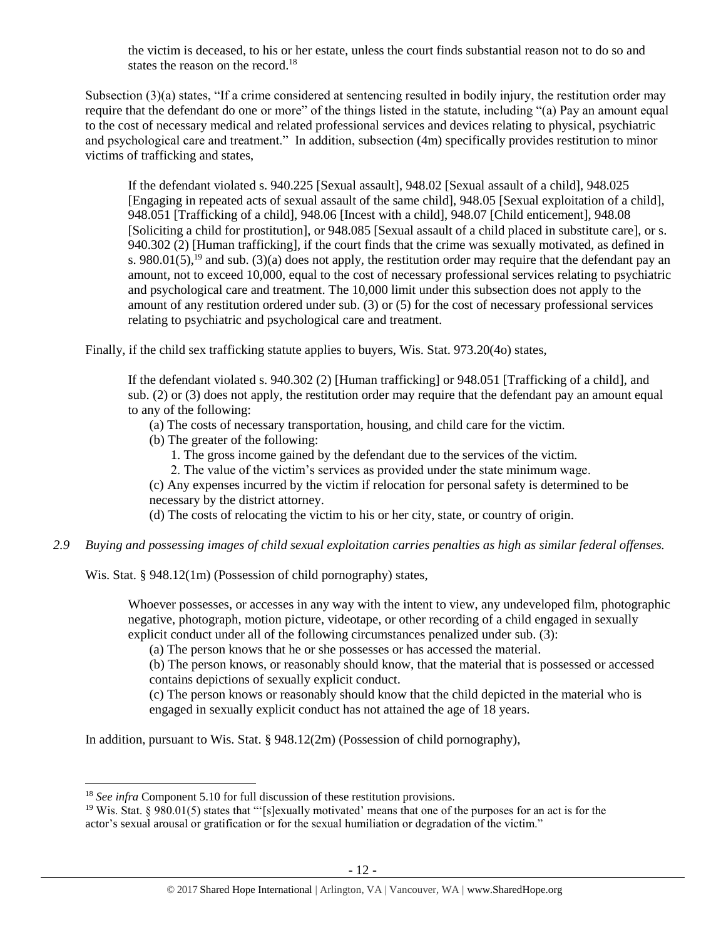the victim is deceased, to his or her estate, unless the court finds substantial reason not to do so and states the reason on the record.<sup>18</sup>

Subsection (3)(a) states, "If a crime considered at sentencing resulted in bodily injury, the restitution order may require that the defendant do one or more" of the things listed in the statute, including "(a) Pay an amount equal to the cost of necessary medical and related professional services and devices relating to physical, psychiatric and psychological care and treatment." In addition, subsection (4m) specifically provides restitution to minor victims of trafficking and states,

<span id="page-11-0"></span>If the defendant violated s. 940.225 [Sexual assault], 948.02 [Sexual assault of a child], 948.025 [Engaging in repeated acts of sexual assault of the same child], 948.05 [Sexual exploitation of a child], 948.051 [Trafficking of a child], 948.06 [Incest with a child], 948.07 [Child enticement], 948.08 [Soliciting a child for prostitution], or 948.085 [Sexual assault of a child placed in substitute care], or s. 940.302 (2) [Human trafficking], if the court finds that the crime was sexually motivated, as defined in s. 980.01(5),<sup>19</sup> and sub. (3)(a) does not apply, the restitution order may require that the defendant pay an amount, not to exceed 10,000, equal to the cost of necessary professional services relating to psychiatric and psychological care and treatment. The 10,000 limit under this subsection does not apply to the amount of any restitution ordered under sub. (3) or (5) for the cost of necessary professional services relating to psychiatric and psychological care and treatment.

Finally, if the child sex trafficking statute applies to buyers, Wis. Stat. 973.20(4o) states,

If the defendant violated s. 940.302 (2) [Human trafficking] or 948.051 [Trafficking of a child], and sub. (2) or (3) does not apply, the restitution order may require that the defendant pay an amount equal to any of the following:

(a) The costs of necessary transportation, housing, and child care for the victim.

- (b) The greater of the following:
	- 1. The gross income gained by the defendant due to the services of the victim.
	- 2. The value of the victim's services as provided under the state minimum wage.

(c) Any expenses incurred by the victim if relocation for personal safety is determined to be necessary by the district attorney.

(d) The costs of relocating the victim to his or her city, state, or country of origin.

*2.9 Buying and possessing images of child sexual exploitation carries penalties as high as similar federal offenses.*

Wis. Stat. § 948.12(1m) (Possession of child pornography) states,

Whoever possesses, or accesses in any way with the intent to view, any undeveloped film, photographic negative, photograph, motion picture, videotape, or other recording of a child engaged in sexually explicit conduct under all of the following circumstances penalized under sub. (3):

(a) The person knows that he or she possesses or has accessed the material.

(b) The person knows, or reasonably should know, that the material that is possessed or accessed contains depictions of sexually explicit conduct.

(c) The person knows or reasonably should know that the child depicted in the material who is engaged in sexually explicit conduct has not attained the age of 18 years.

In addition, pursuant to Wis. Stat. § 948.12(2m) (Possession of child pornography),

 $\overline{\phantom{a}}$ 

<sup>&</sup>lt;sup>18</sup> *See infra* Component 5.10 for full discussion of these restitution provisions.

<sup>19</sup> Wis. Stat. § 980.01(5) states that "'[s]exually motivated' means that one of the purposes for an act is for the actor's sexual arousal or gratification or for the sexual humiliation or degradation of the victim."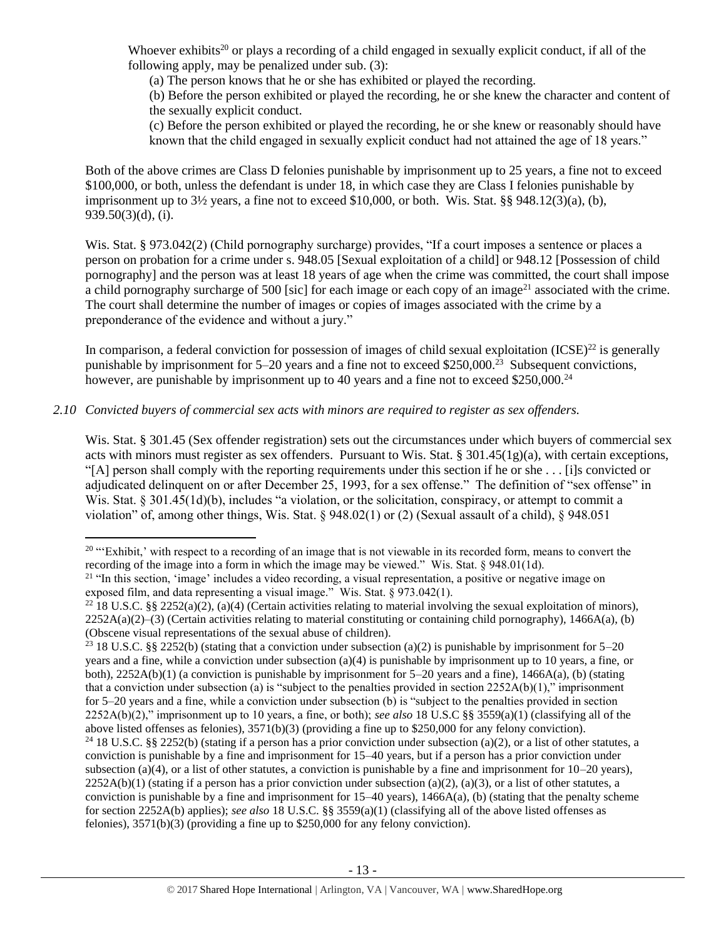Whoever exhibits<sup>20</sup> or plays a recording of a child engaged in sexually explicit conduct, if all of the following apply, may be penalized under sub. (3):

<span id="page-12-0"></span>(a) The person knows that he or she has exhibited or played the recording.

(b) Before the person exhibited or played the recording, he or she knew the character and content of the sexually explicit conduct.

<span id="page-12-1"></span>(c) Before the person exhibited or played the recording, he or she knew or reasonably should have known that the child engaged in sexually explicit conduct had not attained the age of 18 years."

Both of the above crimes are Class D felonies punishable by imprisonment up to 25 years, a fine not to exceed \$100,000, or both, unless the defendant is under 18, in which case they are Class I felonies punishable by imprisonment up to 3½ years, a fine not to exceed \$10,000, or both. Wis. Stat. §§ 948.12(3)(a), (b), 939.50(3)(d), (i).

Wis. Stat. § 973.042(2) (Child pornography surcharge) provides, "If a court imposes a sentence or places a person on probation for a crime under s. 948.05 [Sexual exploitation of a child] or 948.12 [Possession of child pornography] and the person was at least 18 years of age when the crime was committed, the court shall impose a child pornography surcharge of 500 [sic] for each image or each copy of an image<sup>21</sup> associated with the crime. The court shall determine the number of images or copies of images associated with the crime by a preponderance of the evidence and without a jury."

In comparison, a federal conviction for possession of images of child sexual exploitation  $(ICSE)^{22}$  is generally punishable by imprisonment for 5–20 years and a fine not to exceed \$250,000.<sup>23</sup> Subsequent convictions, however, are punishable by imprisonment up to 40 years and a fine not to exceed \$250,000.<sup>24</sup>

# *2.10 Convicted buyers of commercial sex acts with minors are required to register as sex offenders.*

 $\overline{\phantom{a}}$ 

Wis. Stat. § 301.45 (Sex offender registration) sets out the circumstances under which buyers of commercial sex acts with minors must register as sex offenders. Pursuant to Wis. Stat. §  $301.45(1g)(a)$ , with certain exceptions, "[A] person shall comply with the reporting requirements under this section if he or she . . . [i]s convicted or adjudicated delinquent on or after December 25, 1993, for a sex offense." The definition of "sex offense" in Wis. Stat. § 301.45(1d)(b), includes "a violation, or the solicitation, conspiracy, or attempt to commit a violation" of, among other things, Wis. Stat. § 948.02(1) or (2) (Sexual assault of a child), § 948.051

 $20$  "Exhibit,' with respect to a recording of an image that is not viewable in its recorded form, means to convert the recording of the image into a form in which the image may be viewed." Wis. Stat. § 948.01(1d).

<sup>&</sup>lt;sup>21</sup> "In this section, 'image' includes a video recording, a visual representation, a positive or negative image on exposed film, and data representing a visual image." Wis. Stat.  $\S$  973.042(1).

<sup>&</sup>lt;sup>22</sup> 18 U.S.C. §§ 2252(a)(2), (a)(4) (Certain activities relating to material involving the sexual exploitation of minors),  $2252A(a)(2)$ –(3) (Certain activities relating to material constituting or containing child pornography), 1466A(a), (b) (Obscene visual representations of the sexual abuse of children).

<sup>&</sup>lt;sup>23</sup> 18 U.S.C. §§ 2252(b) (stating that a conviction under subsection (a)(2) is punishable by imprisonment for 5–20 years and a fine, while a conviction under subsection (a)(4) is punishable by imprisonment up to 10 years, a fine, or both), 2252A(b)(1) (a conviction is punishable by imprisonment for 5–20 years and a fine), 1466A(a), (b) (stating that a conviction under subsection (a) is "subject to the penalties provided in section  $2252A(b)(1)$ ," imprisonment for 5–20 years and a fine, while a conviction under subsection (b) is "subject to the penalties provided in section 2252A(b)(2)," imprisonment up to 10 years, a fine, or both); *see also* 18 U.S.C §§ 3559(a)(1) (classifying all of the above listed offenses as felonies), 3571(b)(3) (providing a fine up to \$250,000 for any felony conviction).

<sup>&</sup>lt;sup>24</sup> 18 U.S.C. §§ 2252(b) (stating if a person has a prior conviction under subsection (a)(2), or a list of other statutes, a conviction is punishable by a fine and imprisonment for 15–40 years, but if a person has a prior conviction under subsection (a)(4), or a list of other statutes, a conviction is punishable by a fine and imprisonment for  $10-20$  years),  $2252A(b)(1)$  (stating if a person has a prior conviction under subsection (a)(2), (a)(3), or a list of other statutes, a conviction is punishable by a fine and imprisonment for  $15-40$  years),  $1466A(a)$ , (b) (stating that the penalty scheme for section 2252A(b) applies); *see also* 18 U.S.C. §§ 3559(a)(1) (classifying all of the above listed offenses as felonies), 3571(b)(3) (providing a fine up to \$250,000 for any felony conviction).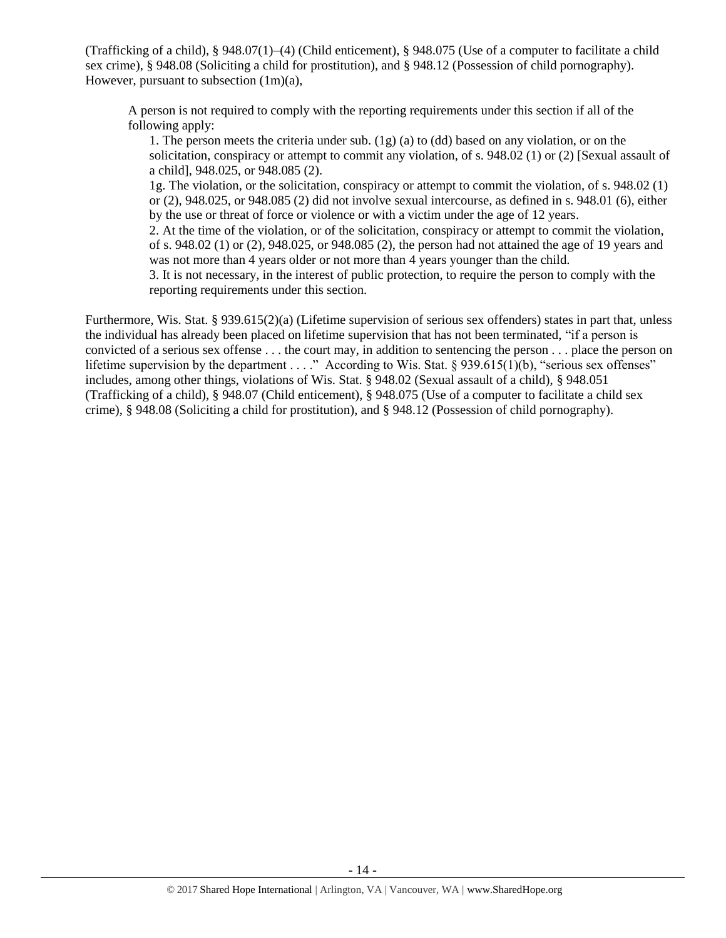(Trafficking of a child), § 948.07(1)–(4) (Child enticement), § 948.075 (Use of a computer to facilitate a child sex crime), § 948.08 (Soliciting a child for prostitution), and § 948.12 (Possession of child pornography). However, pursuant to subsection (1m)(a),

A person is not required to comply with the reporting requirements under this section if all of the following apply:

1. The person meets the criteria under sub. (1g) (a) to (dd) based on any violation, or on the solicitation, conspiracy or attempt to commit any violation, of s. 948.02 (1) or (2) [Sexual assault of a child], 948.025, or 948.085 (2).

1g. The violation, or the solicitation, conspiracy or attempt to commit the violation, of s. 948.02 (1) or (2), 948.025, or 948.085 (2) did not involve sexual intercourse, as defined in s. 948.01 (6), either by the use or threat of force or violence or with a victim under the age of 12 years.

2. At the time of the violation, or of the solicitation, conspiracy or attempt to commit the violation, of s. 948.02 (1) or (2), 948.025, or 948.085 (2), the person had not attained the age of 19 years and was not more than 4 years older or not more than 4 years younger than the child.

3. It is not necessary, in the interest of public protection, to require the person to comply with the reporting requirements under this section.

Furthermore, Wis. Stat. § 939.615(2)(a) (Lifetime supervision of serious sex offenders) states in part that, unless the individual has already been placed on lifetime supervision that has not been terminated, "if a person is convicted of a serious sex offense . . . the court may, in addition to sentencing the person . . . place the person on lifetime supervision by the department . . . ." According to Wis. Stat. § 939.615(1)(b), "serious sex offenses" includes, among other things, violations of Wis. Stat. § 948.02 (Sexual assault of a child), § 948.051 (Trafficking of a child), § 948.07 (Child enticement), § 948.075 (Use of a computer to facilitate a child sex crime), § 948.08 (Soliciting a child for prostitution), and § 948.12 (Possession of child pornography).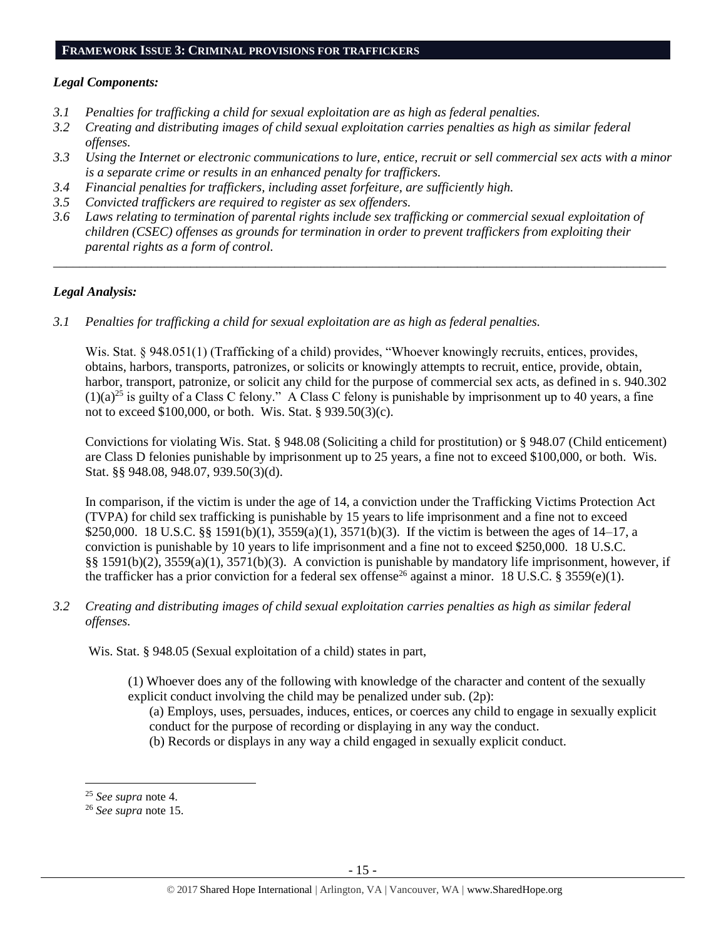#### **FRAMEWORK ISSUE 3: CRIMINAL PROVISIONS FOR TRAFFICKERS**

#### *Legal Components:*

- *3.1 Penalties for trafficking a child for sexual exploitation are as high as federal penalties.*
- *3.2 Creating and distributing images of child sexual exploitation carries penalties as high as similar federal offenses.*
- *3.3 Using the Internet or electronic communications to lure, entice, recruit or sell commercial sex acts with a minor is a separate crime or results in an enhanced penalty for traffickers.*
- *3.4 Financial penalties for traffickers, including asset forfeiture, are sufficiently high.*
- *3.5 Convicted traffickers are required to register as sex offenders.*
- *3.6 Laws relating to termination of parental rights include sex trafficking or commercial sexual exploitation of children (CSEC) offenses as grounds for termination in order to prevent traffickers from exploiting their parental rights as a form of control.*

*\_\_\_\_\_\_\_\_\_\_\_\_\_\_\_\_\_\_\_\_\_\_\_\_\_\_\_\_\_\_\_\_\_\_\_\_\_\_\_\_\_\_\_\_\_\_\_\_\_\_\_\_\_\_\_\_\_\_\_\_\_\_\_\_\_\_\_\_\_\_\_\_\_\_\_\_\_\_\_\_\_\_\_\_\_\_\_\_\_\_\_\_\_\_*

#### *Legal Analysis:*

*3.1 Penalties for trafficking a child for sexual exploitation are as high as federal penalties.* 

Wis. Stat. § 948.051(1) (Trafficking of a child) provides, "Whoever knowingly recruits, entices, provides, obtains, harbors, transports, patronizes, or solicits or knowingly attempts to recruit, entice, provide, obtain, harbor, transport, patronize, or solicit any child for the purpose of commercial sex acts, as defined in s. 940.302  $(1)(a)^{25}$  is guilty of a Class C felony." A Class C felony is punishable by imprisonment up to 40 years, a fine not to exceed \$100,000, or both. Wis. Stat. § 939.50(3)(c).

Convictions for violating Wis. Stat. § 948.08 (Soliciting a child for prostitution) or § 948.07 (Child enticement) are Class D felonies punishable by imprisonment up to 25 years, a fine not to exceed \$100,000, or both. Wis. Stat. §§ 948.08, 948.07, 939.50(3)(d).

In comparison, if the victim is under the age of 14, a conviction under the Trafficking Victims Protection Act (TVPA) for child sex trafficking is punishable by 15 years to life imprisonment and a fine not to exceed \$250,000. 18 U.S.C. §§ 1591(b)(1), 3559(a)(1), 3571(b)(3). If the victim is between the ages of 14–17, a conviction is punishable by 10 years to life imprisonment and a fine not to exceed \$250,000. 18 U.S.C. §§ 1591(b)(2), 3559(a)(1), 3571(b)(3). A conviction is punishable by mandatory life imprisonment, however, if the trafficker has a prior conviction for a federal sex offense<sup>26</sup> against a minor. 18 U.S.C. § 3559(e)(1).

*3.2 Creating and distributing images of child sexual exploitation carries penalties as high as similar federal offenses.*

Wis. Stat. § 948.05 (Sexual exploitation of a child) states in part,

- (1) Whoever does any of the following with knowledge of the character and content of the sexually explicit conduct involving the child may be penalized under sub. (2p):
	- (a) Employs, uses, persuades, induces, entices, or coerces any child to engage in sexually explicit conduct for the purpose of recording or displaying in any way the conduct.
	- (b) Records or displays in any way a child engaged in sexually explicit conduct.

 $\overline{\phantom{a}}$ 

<sup>25</sup> *See supra* note [4.](#page-1-0)

<sup>26</sup> *See supra* note [15.](#page-8-0)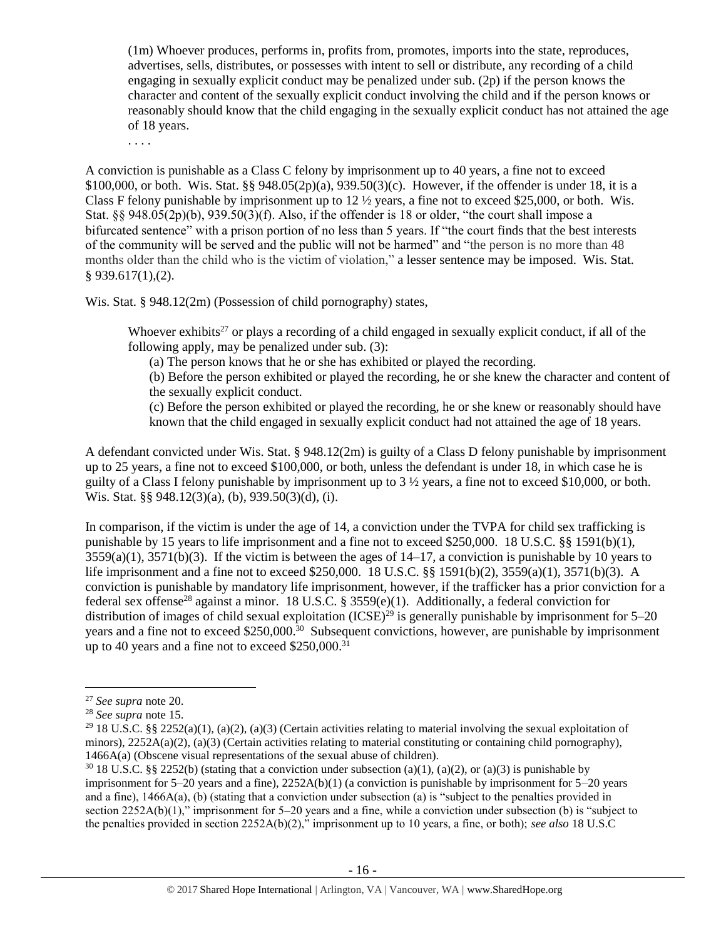(1m) Whoever produces, performs in, profits from, promotes, imports into the state, reproduces, advertises, sells, distributes, or possesses with intent to sell or distribute, any recording of a child engaging in sexually explicit conduct may be penalized under sub. (2p) if the person knows the character and content of the sexually explicit conduct involving the child and if the person knows or reasonably should know that the child engaging in the sexually explicit conduct has not attained the age of 18 years.

. . . .

A conviction is punishable as a Class C felony by imprisonment up to 40 years, a fine not to exceed \$100,000, or both. Wis. Stat. §§ 948.05(2p)(a), 939.50(3)(c). However, if the offender is under 18, it is a Class F felony punishable by imprisonment up to  $12 \frac{1}{2}$  years, a fine not to exceed \$25,000, or both. Wis. Stat. §§ 948.05(2p)(b), 939.50(3)(f). Also, if the offender is 18 or older, "the court shall impose a bifurcated sentence" with a prison portion of no less than 5 years. If "the court finds that the best interests of the community will be served and the public will not be harmed" and "the person is no more than 48 months older than the child who is the victim of violation," a lesser sentence may be imposed. Wis. Stat. § 939.617(1),(2).

Wis. Stat. § 948.12(2m) (Possession of child pornography) states,

Whoever exhibits<sup>27</sup> or plays a recording of a child engaged in sexually explicit conduct, if all of the following apply, may be penalized under sub. (3):

(a) The person knows that he or she has exhibited or played the recording.

(b) Before the person exhibited or played the recording, he or she knew the character and content of the sexually explicit conduct.

(c) Before the person exhibited or played the recording, he or she knew or reasonably should have known that the child engaged in sexually explicit conduct had not attained the age of 18 years.

A defendant convicted under Wis. Stat. § 948.12(2m) is guilty of a Class D felony punishable by imprisonment up to 25 years, a fine not to exceed \$100,000, or both, unless the defendant is under 18, in which case he is guilty of a Class I felony punishable by imprisonment up to 3 ½ years, a fine not to exceed \$10,000, or both. Wis. Stat. §§ 948.12(3)(a), (b), 939.50(3)(d), (i).

In comparison, if the victim is under the age of 14, a conviction under the TVPA for child sex trafficking is punishable by 15 years to life imprisonment and a fine not to exceed \$250,000. 18 U.S.C. §§ 1591(b)(1),  $3559(a)(1)$ ,  $3571(b)(3)$ . If the victim is between the ages of  $14-17$ , a conviction is punishable by 10 years to life imprisonment and a fine not to exceed \$250,000. 18 U.S.C. §§ 1591(b)(2), 3559(a)(1), 3571(b)(3). A conviction is punishable by mandatory life imprisonment, however, if the trafficker has a prior conviction for a federal sex offense<sup>28</sup> against a minor. 18 U.S.C. § 3559 $(e)(1)$ . Additionally, a federal conviction for distribution of images of child sexual exploitation  $(ICSE)^{29}$  is generally punishable by imprisonment for 5–20 years and a fine not to exceed \$250,000.<sup>30</sup> Subsequent convictions, however, are punishable by imprisonment up to 40 years and a fine not to exceed  $$250,000$ .<sup>31</sup>

 $\overline{a}$ 

<sup>27</sup> *See supra* note [20.](#page-12-0)

<sup>28</sup> *See supra* note [15.](#page-8-0)

<sup>&</sup>lt;sup>29</sup> 18 U.S.C. §§ 2252(a)(1), (a)(2), (a)(3) (Certain activities relating to material involving the sexual exploitation of minors),  $2252A(a)(2)$ , (a)(3) (Certain activities relating to material constituting or containing child pornography), 1466A(a) (Obscene visual representations of the sexual abuse of children).

 $30\,18$  U.S.C. §§ 2252(b) (stating that a conviction under subsection (a)(1), (a)(2), or (a)(3) is punishable by imprisonment for  $5-20$  years and a fine),  $2252A(b)(1)$  (a conviction is punishable by imprisonment for  $5-20$  years and a fine), 1466A(a), (b) (stating that a conviction under subsection (a) is "subject to the penalties provided in section 2252A(b)(1)," imprisonment for 5–20 years and a fine, while a conviction under subsection (b) is "subject to the penalties provided in section 2252A(b)(2)," imprisonment up to 10 years, a fine, or both); *see also* 18 U.S.C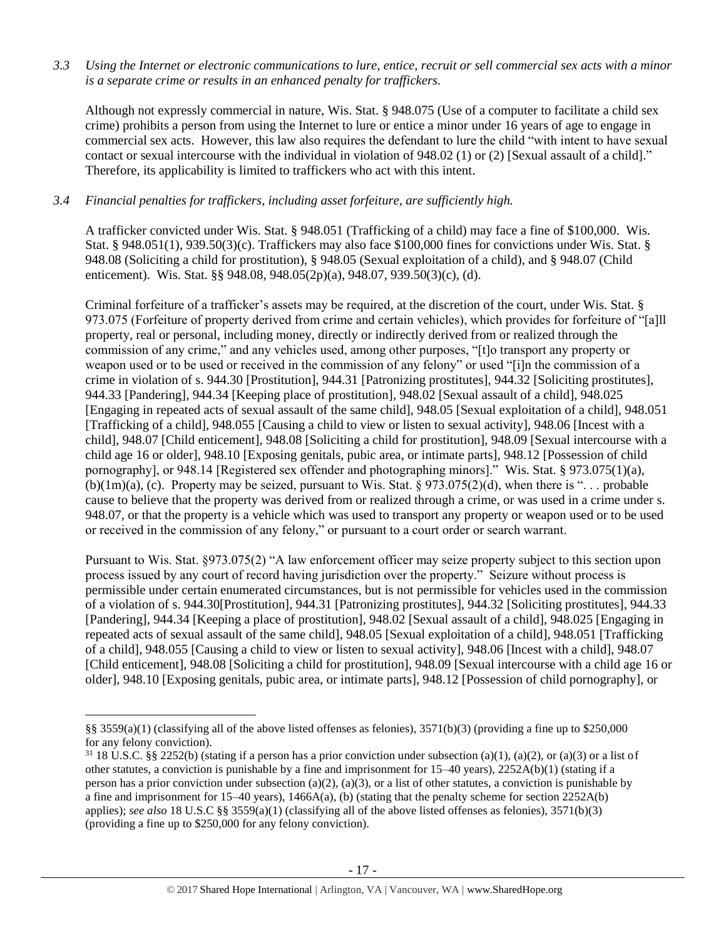*3.3 Using the Internet or electronic communications to lure, entice, recruit or sell commercial sex acts with a minor is a separate crime or results in an enhanced penalty for traffickers.*

Although not expressly commercial in nature, Wis. Stat. § 948.075 (Use of a computer to facilitate a child sex crime) prohibits a person from using the Internet to lure or entice a minor under 16 years of age to engage in commercial sex acts. However, this law also requires the defendant to lure the child "with intent to have sexual contact or sexual intercourse with the individual in violation of 948.02 (1) or (2) [Sexual assault of a child]." Therefore, its applicability is limited to traffickers who act with this intent.

# *3.4 Financial penalties for traffickers, including asset forfeiture, are sufficiently high.*

A trafficker convicted under Wis. Stat. § 948.051 (Trafficking of a child) may face a fine of \$100,000. Wis. Stat. § 948.051(1), 939.50(3)(c). Traffickers may also face \$100,000 fines for convictions under Wis. Stat. § 948.08 (Soliciting a child for prostitution), § 948.05 (Sexual exploitation of a child), and § 948.07 (Child enticement). Wis. Stat. §§ 948.08, 948.05(2p)(a), 948.07, 939.50(3)(c), (d).

Criminal forfeiture of a trafficker's assets may be required, at the discretion of the court, under Wis. Stat. § 973.075 (Forfeiture of property derived from crime and certain vehicles), which provides for forfeiture of "[a]ll property, real or personal, including money, directly or indirectly derived from or realized through the commission of any crime," and any vehicles used, among other purposes, "[t]o transport any property or weapon used or to be used or received in the commission of any felony" or used "[i]n the commission of a crime in violation of s. 944.30 [Prostitution], 944.31 [Patronizing prostitutes], 944.32 [Soliciting prostitutes], 944.33 [Pandering], 944.34 [Keeping place of prostitution], 948.02 [Sexual assault of a child], 948.025 [Engaging in repeated acts of sexual assault of the same child], 948.05 [Sexual exploitation of a child], 948.051 [Trafficking of a child], 948.055 [Causing a child to view or listen to sexual activity], 948.06 [Incest with a child], 948.07 [Child enticement], 948.08 [Soliciting a child for prostitution], 948.09 [Sexual intercourse with a child age 16 or older], 948.10 [Exposing genitals, pubic area, or intimate parts], 948.12 [Possession of child pornography], or 948.14 [Registered sex offender and photographing minors]." Wis. Stat. § 973.075(1)(a), (b)(1m)(a), (c). Property may be seized, pursuant to Wis. Stat.  $\S 973.075(2)$ (d), when there is "... probable cause to believe that the property was derived from or realized through a crime, or was used in a crime under s. 948.07, or that the property is a vehicle which was used to transport any property or weapon used or to be used or received in the commission of any felony," or pursuant to a court order or search warrant.

Pursuant to Wis. Stat. §973.075(2) "A law enforcement officer may seize property subject to this section upon process issued by any court of record having jurisdiction over the property." Seizure without process is permissible under certain enumerated circumstances, but is not permissible for vehicles used in the commission of a violation of s. 944.30[Prostitution], 944.31 [Patronizing prostitutes], 944.32 [Soliciting prostitutes], 944.33 [Pandering], 944.34 [Keeping a place of prostitution], 948.02 [Sexual assault of a child], 948.025 [Engaging in repeated acts of sexual assault of the same child], 948.05 [Sexual exploitation of a child], 948.051 [Trafficking of a child], 948.055 [Causing a child to view or listen to sexual activity], 948.06 [Incest with a child], 948.07 [Child enticement], 948.08 [Soliciting a child for prostitution], 948.09 [Sexual intercourse with a child age 16 or older], 948.10 [Exposing genitals, pubic area, or intimate parts], 948.12 [Possession of child pornography], or

 $\overline{\phantom{a}}$ 

<sup>§§ 3559(</sup>a)(1) (classifying all of the above listed offenses as felonies),  $3571(b)(3)$  (providing a fine up to \$250,000 for any felony conviction).

 $31\,18$  U.S.C. §§ 2252(b) (stating if a person has a prior conviction under subsection (a)(1), (a)(2), or (a)(3) or a list of other statutes, a conviction is punishable by a fine and imprisonment for 15–40 years), 2252A(b)(1) (stating if a person has a prior conviction under subsection (a)(2), (a)(3), or a list of other statutes, a conviction is punishable by a fine and imprisonment for 15–40 years), 1466A(a), (b) (stating that the penalty scheme for section 2252A(b) applies); *see also* 18 U.S.C §§ 3559(a)(1) (classifying all of the above listed offenses as felonies), 3571(b)(3) (providing a fine up to \$250,000 for any felony conviction).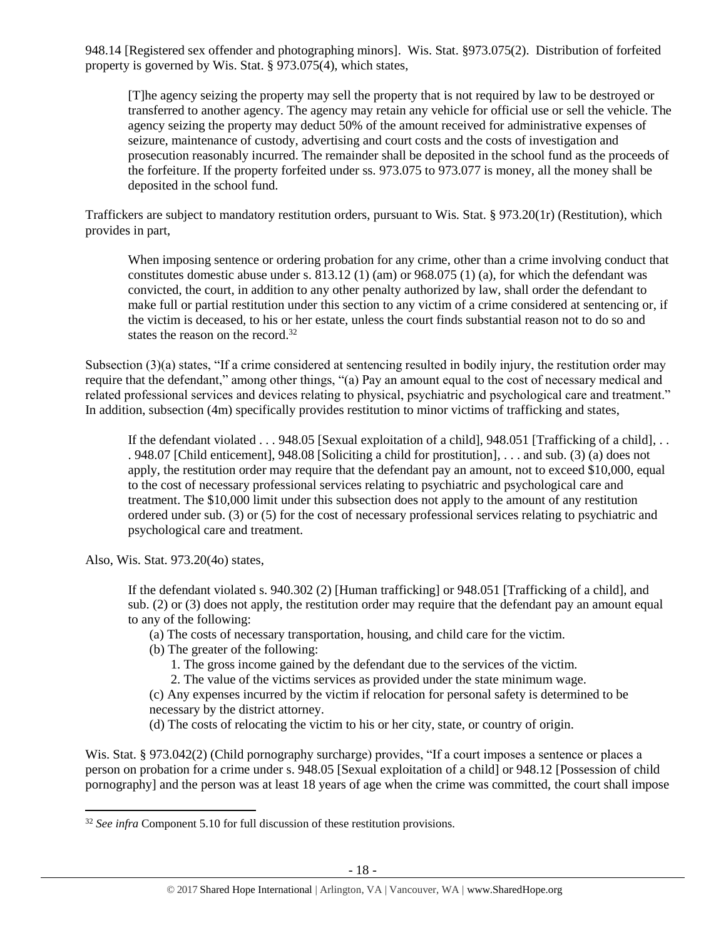948.14 [Registered sex offender and photographing minors]. Wis. Stat. §973.075(2). Distribution of forfeited property is governed by Wis. Stat. § 973.075(4), which states,

[T]he agency seizing the property may sell the property that is not required by law to be destroyed or transferred to another agency. The agency may retain any vehicle for official use or sell the vehicle. The agency seizing the property may deduct 50% of the amount received for administrative expenses of seizure, maintenance of custody, advertising and court costs and the costs of investigation and prosecution reasonably incurred. The remainder shall be deposited in the school fund as the proceeds of the forfeiture. If the property forfeited under ss. 973.075 to 973.077 is money, all the money shall be deposited in the school fund.

Traffickers are subject to mandatory restitution orders, pursuant to Wis. Stat. § 973.20(1r) (Restitution), which provides in part,

When imposing sentence or ordering probation for any crime, other than a crime involving conduct that constitutes domestic abuse under s. 813.12 (1) (am) or 968.075 (1) (a), for which the defendant was convicted, the court, in addition to any other penalty authorized by law, shall order the defendant to make full or partial restitution under this section to any victim of a crime considered at sentencing or, if the victim is deceased, to his or her estate, unless the court finds substantial reason not to do so and states the reason on the record.<sup>32</sup>

Subsection (3)(a) states, "If a crime considered at sentencing resulted in bodily injury, the restitution order may require that the defendant," among other things, "(a) Pay an amount equal to the cost of necessary medical and related professional services and devices relating to physical, psychiatric and psychological care and treatment." In addition, subsection (4m) specifically provides restitution to minor victims of trafficking and states,

If the defendant violated . . . 948.05 [Sexual exploitation of a child], 948.051 [Trafficking of a child], . . . 948.07 [Child enticement], 948.08 [Soliciting a child for prostitution], . . . and sub. (3) (a) does not apply, the restitution order may require that the defendant pay an amount, not to exceed \$10,000, equal to the cost of necessary professional services relating to psychiatric and psychological care and treatment. The \$10,000 limit under this subsection does not apply to the amount of any restitution ordered under sub. (3) or (5) for the cost of necessary professional services relating to psychiatric and psychological care and treatment.

Also, Wis. Stat. 973.20(4o) states,

l

If the defendant violated s. 940.302 (2) [Human trafficking] or 948.051 [Trafficking of a child], and sub. (2) or (3) does not apply, the restitution order may require that the defendant pay an amount equal to any of the following:

(a) The costs of necessary transportation, housing, and child care for the victim.

- (b) The greater of the following:
	- 1. The gross income gained by the defendant due to the services of the victim.
	- 2. The value of the victims services as provided under the state minimum wage.

(c) Any expenses incurred by the victim if relocation for personal safety is determined to be necessary by the district attorney.

(d) The costs of relocating the victim to his or her city, state, or country of origin.

Wis. Stat. § 973.042(2) (Child pornography surcharge) provides, "If a court imposes a sentence or places a person on probation for a crime under s. 948.05 [Sexual exploitation of a child] or 948.12 [Possession of child pornography] and the person was at least 18 years of age when the crime was committed, the court shall impose

<sup>&</sup>lt;sup>32</sup> See infra Component 5.10 for full discussion of these restitution provisions.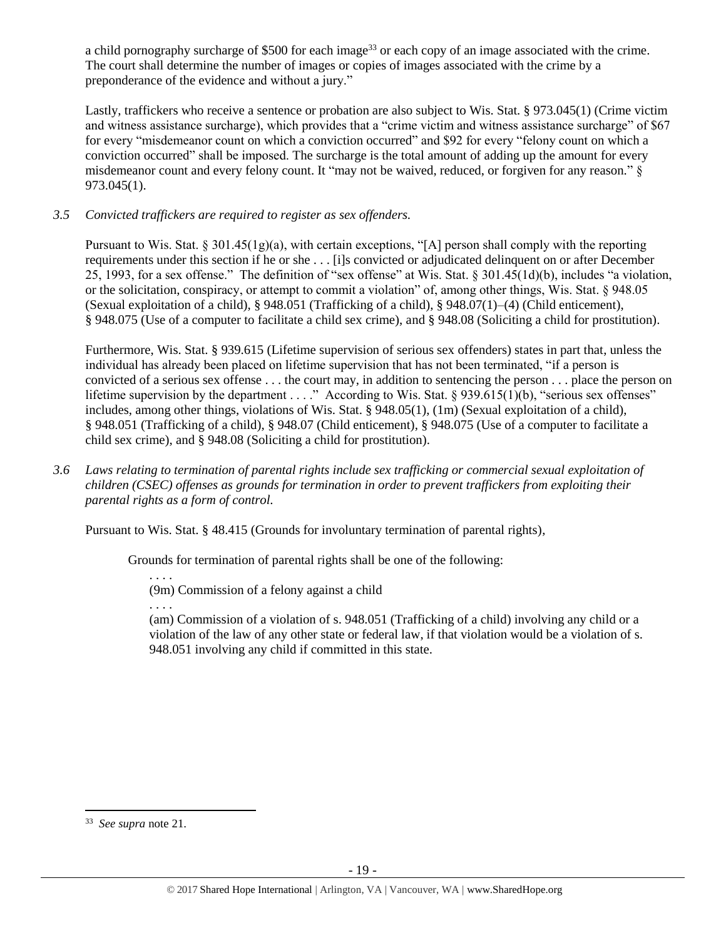a child pornography surcharge of \$500 for each image<sup>33</sup> or each copy of an image associated with the crime. The court shall determine the number of images or copies of images associated with the crime by a preponderance of the evidence and without a jury."

Lastly, traffickers who receive a sentence or probation are also subject to Wis. Stat. § 973.045(1) (Crime victim and witness assistance surcharge), which provides that a "crime victim and witness assistance surcharge" of \$67 for every "misdemeanor count on which a conviction occurred" and \$92 for every "felony count on which a conviction occurred" shall be imposed. The surcharge is the total amount of adding up the amount for every misdemeanor count and every felony count. It "may not be waived, reduced, or forgiven for any reason." § 973.045(1).

# *3.5 Convicted traffickers are required to register as sex offenders.*

Pursuant to Wis. Stat. § 301.45(1g)(a), with certain exceptions, "[A] person shall comply with the reporting requirements under this section if he or she . . . [i]s convicted or adjudicated delinquent on or after December 25, 1993, for a sex offense." The definition of "sex offense" at Wis. Stat. § 301.45(1d)(b), includes "a violation, or the solicitation, conspiracy, or attempt to commit a violation" of, among other things, Wis. Stat. § 948.05 (Sexual exploitation of a child), § 948.051 (Trafficking of a child), § 948.07(1)–(4) (Child enticement), § 948.075 (Use of a computer to facilitate a child sex crime), and § 948.08 (Soliciting a child for prostitution).

Furthermore, Wis. Stat. § 939.615 (Lifetime supervision of serious sex offenders) states in part that, unless the individual has already been placed on lifetime supervision that has not been terminated, "if a person is convicted of a serious sex offense . . . the court may, in addition to sentencing the person . . . place the person on lifetime supervision by the department . . . ." According to Wis. Stat. § 939.615(1)(b), "serious sex offenses" includes, among other things, violations of Wis. Stat. § 948.05(1), (1m) (Sexual exploitation of a child), § 948.051 (Trafficking of a child), § 948.07 (Child enticement), § 948.075 (Use of a computer to facilitate a child sex crime), and § 948.08 (Soliciting a child for prostitution).

*3.6 Laws relating to termination of parental rights include sex trafficking or commercial sexual exploitation of children (CSEC) offenses as grounds for termination in order to prevent traffickers from exploiting their parental rights as a form of control.* 

Pursuant to Wis. Stat. § 48.415 (Grounds for involuntary termination of parental rights),

Grounds for termination of parental rights shall be one of the following:

(9m) Commission of a felony against a child

. . . .

. . . .

(am) Commission of a violation of s. 948.051 (Trafficking of a child) involving any child or a violation of the law of any other state or federal law, if that violation would be a violation of s. 948.051 involving any child if committed in this state.

l

<sup>33</sup> *See supra* note [21.](#page-12-1)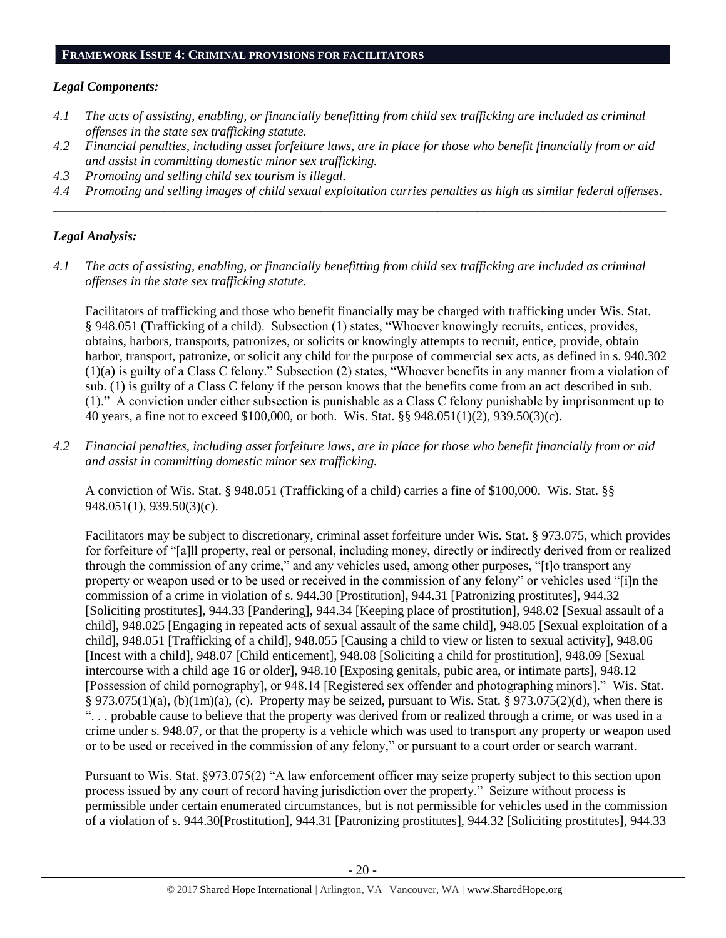#### **FRAMEWORK ISSUE 4: CRIMINAL PROVISIONS FOR FACILITATORS**

#### *Legal Components:*

- *4.1 The acts of assisting, enabling, or financially benefitting from child sex trafficking are included as criminal offenses in the state sex trafficking statute.*
- *4.2 Financial penalties, including asset forfeiture laws, are in place for those who benefit financially from or aid and assist in committing domestic minor sex trafficking.*
- *4.3 Promoting and selling child sex tourism is illegal.*
- *4.4 Promoting and selling images of child sexual exploitation carries penalties as high as similar federal offenses. \_\_\_\_\_\_\_\_\_\_\_\_\_\_\_\_\_\_\_\_\_\_\_\_\_\_\_\_\_\_\_\_\_\_\_\_\_\_\_\_\_\_\_\_\_\_\_\_\_\_\_\_\_\_\_\_\_\_\_\_\_\_\_\_\_\_\_\_\_\_\_\_\_\_\_\_\_\_\_\_\_\_\_\_\_\_\_\_\_\_\_\_\_\_*

#### *Legal Analysis:*

*4.1 The acts of assisting, enabling, or financially benefitting from child sex trafficking are included as criminal offenses in the state sex trafficking statute.*

Facilitators of trafficking and those who benefit financially may be charged with trafficking under Wis. Stat. § 948.051 (Trafficking of a child). Subsection (1) states, "Whoever knowingly recruits, entices, provides, obtains, harbors, transports, patronizes, or solicits or knowingly attempts to recruit, entice, provide, obtain harbor, transport, patronize, or solicit any child for the purpose of commercial sex acts, as defined in s. 940.302 (1)(a) is guilty of a Class C felony." Subsection (2) states, "Whoever benefits in any manner from a violation of sub. (1) is guilty of a Class C felony if the person knows that the benefits come from an act described in sub. (1)." A conviction under either subsection is punishable as a Class C felony punishable by imprisonment up to 40 years, a fine not to exceed \$100,000, or both. Wis. Stat. §§ 948.051(1)(2), 939.50(3)(c).

*4.2 Financial penalties, including asset forfeiture laws, are in place for those who benefit financially from or aid and assist in committing domestic minor sex trafficking.*

A conviction of Wis. Stat. § 948.051 (Trafficking of a child) carries a fine of \$100,000. Wis. Stat. §§ 948.051(1), 939.50(3)(c).

Facilitators may be subject to discretionary, criminal asset forfeiture under Wis. Stat. § 973.075, which provides for forfeiture of "[a]ll property, real or personal, including money, directly or indirectly derived from or realized through the commission of any crime," and any vehicles used, among other purposes, "[t]o transport any property or weapon used or to be used or received in the commission of any felony" or vehicles used "[i]n the commission of a crime in violation of s. 944.30 [Prostitution], 944.31 [Patronizing prostitutes], 944.32 [Soliciting prostitutes], 944.33 [Pandering], 944.34 [Keeping place of prostitution], 948.02 [Sexual assault of a child], 948.025 [Engaging in repeated acts of sexual assault of the same child], 948.05 [Sexual exploitation of a child], 948.051 [Trafficking of a child], 948.055 [Causing a child to view or listen to sexual activity], 948.06 [Incest with a child], 948.07 [Child enticement], 948.08 [Soliciting a child for prostitution], 948.09 [Sexual intercourse with a child age 16 or older], 948.10 [Exposing genitals, pubic area, or intimate parts], 948.12 [Possession of child pornography], or 948.14 [Registered sex offender and photographing minors]." Wis. Stat. § 973.075(1)(a), (b)(1m)(a), (c). Property may be seized, pursuant to Wis. Stat. § 973.075(2)(d), when there is ". . . probable cause to believe that the property was derived from or realized through a crime, or was used in a crime under s. 948.07, or that the property is a vehicle which was used to transport any property or weapon used or to be used or received in the commission of any felony," or pursuant to a court order or search warrant.

Pursuant to Wis. Stat. §973.075(2) "A law enforcement officer may seize property subject to this section upon process issued by any court of record having jurisdiction over the property." Seizure without process is permissible under certain enumerated circumstances, but is not permissible for vehicles used in the commission of a violation of s. 944.30[Prostitution], 944.31 [Patronizing prostitutes], 944.32 [Soliciting prostitutes], 944.33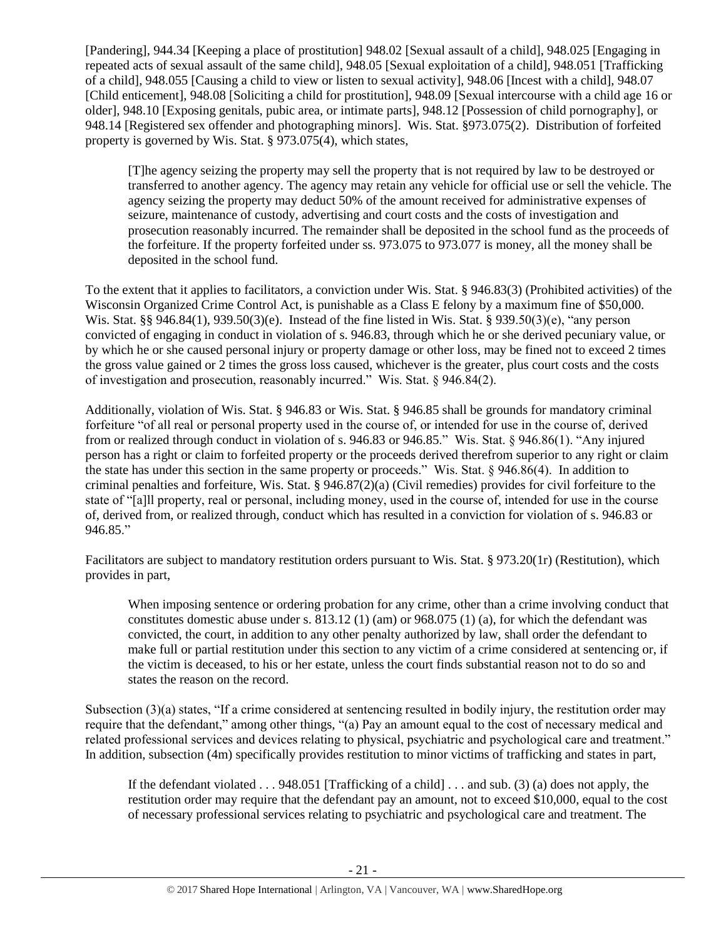[Pandering], 944.34 [Keeping a place of prostitution] 948.02 [Sexual assault of a child], 948.025 [Engaging in repeated acts of sexual assault of the same child], 948.05 [Sexual exploitation of a child], 948.051 [Trafficking of a child], 948.055 [Causing a child to view or listen to sexual activity], 948.06 [Incest with a child], 948.07 [Child enticement], 948.08 [Soliciting a child for prostitution], 948.09 [Sexual intercourse with a child age 16 or older], 948.10 [Exposing genitals, pubic area, or intimate parts], 948.12 [Possession of child pornography], or 948.14 [Registered sex offender and photographing minors]. Wis. Stat. §973.075(2). Distribution of forfeited property is governed by Wis. Stat. § 973.075(4), which states,

[T]he agency seizing the property may sell the property that is not required by law to be destroyed or transferred to another agency. The agency may retain any vehicle for official use or sell the vehicle. The agency seizing the property may deduct 50% of the amount received for administrative expenses of seizure, maintenance of custody, advertising and court costs and the costs of investigation and prosecution reasonably incurred. The remainder shall be deposited in the school fund as the proceeds of the forfeiture. If the property forfeited under ss. 973.075 to 973.077 is money, all the money shall be deposited in the school fund.

To the extent that it applies to facilitators, a conviction under Wis. Stat. § 946.83(3) (Prohibited activities) of the Wisconsin Organized Crime Control Act, is punishable as a Class E felony by a maximum fine of \$50,000. Wis. Stat. §§ 946.84(1), 939.50(3)(e). Instead of the fine listed in Wis. Stat. § 939.50(3)(e), "any person convicted of engaging in conduct in violation of s. 946.83, through which he or she derived pecuniary value, or by which he or she caused personal injury or property damage or other loss, may be fined not to exceed 2 times the gross value gained or 2 times the gross loss caused, whichever is the greater, plus court costs and the costs of investigation and prosecution, reasonably incurred." Wis. Stat. § 946.84(2).

Additionally, violation of Wis. Stat. § 946.83 or Wis. Stat. § 946.85 shall be grounds for mandatory criminal forfeiture "of all real or personal property used in the course of, or intended for use in the course of, derived from or realized through conduct in violation of s. 946.83 or 946.85." Wis. Stat. § 946.86(1). "Any injured person has a right or claim to forfeited property or the proceeds derived therefrom superior to any right or claim the state has under this section in the same property or proceeds." Wis. Stat. § 946.86(4). In addition to criminal penalties and forfeiture, Wis. Stat. § 946.87(2)(a) (Civil remedies) provides for civil forfeiture to the state of "[a]ll property, real or personal, including money, used in the course of, intended for use in the course of, derived from, or realized through, conduct which has resulted in a conviction for violation of s. 946.83 or 946.85."

Facilitators are subject to mandatory restitution orders pursuant to Wis. Stat. § 973.20(1r) (Restitution), which provides in part,

When imposing sentence or ordering probation for any crime, other than a crime involving conduct that constitutes domestic abuse under s. 813.12 (1) (am) or 968.075 (1) (a), for which the defendant was convicted, the court, in addition to any other penalty authorized by law, shall order the defendant to make full or partial restitution under this section to any victim of a crime considered at sentencing or, if the victim is deceased, to his or her estate, unless the court finds substantial reason not to do so and states the reason on the record.

Subsection (3)(a) states, "If a crime considered at sentencing resulted in bodily injury, the restitution order may require that the defendant," among other things, "(a) Pay an amount equal to the cost of necessary medical and related professional services and devices relating to physical, psychiatric and psychological care and treatment." In addition, subsection (4m) specifically provides restitution to minor victims of trafficking and states in part,

If the defendant violated  $\dots$  948.051 [Trafficking of a child]  $\dots$  and sub. (3) (a) does not apply, the restitution order may require that the defendant pay an amount, not to exceed \$10,000, equal to the cost of necessary professional services relating to psychiatric and psychological care and treatment. The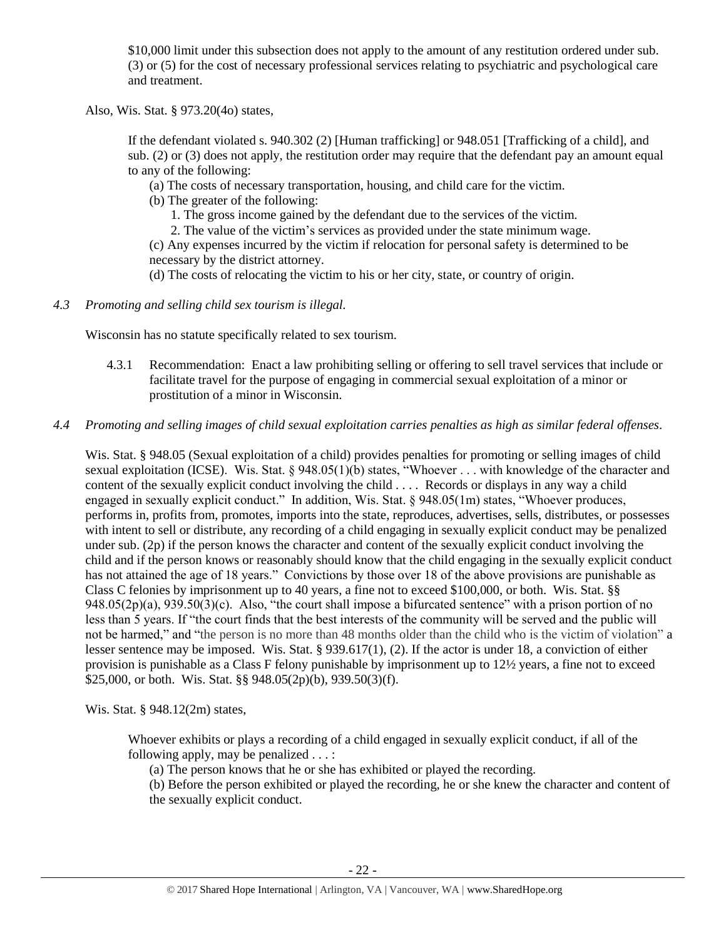\$10,000 limit under this subsection does not apply to the amount of any restitution ordered under sub. (3) or (5) for the cost of necessary professional services relating to psychiatric and psychological care and treatment.

Also, Wis. Stat. § 973.20(4o) states,

If the defendant violated s. 940.302 (2) [Human trafficking] or 948.051 [Trafficking of a child], and sub. (2) or (3) does not apply, the restitution order may require that the defendant pay an amount equal to any of the following:

(a) The costs of necessary transportation, housing, and child care for the victim.

(b) The greater of the following:

1. The gross income gained by the defendant due to the services of the victim.

2. The value of the victim's services as provided under the state minimum wage.

(c) Any expenses incurred by the victim if relocation for personal safety is determined to be necessary by the district attorney.

(d) The costs of relocating the victim to his or her city, state, or country of origin.

*4.3 Promoting and selling child sex tourism is illegal.*

Wisconsin has no statute specifically related to sex tourism.

4.3.1 Recommendation: Enact a law prohibiting selling or offering to sell travel services that include or facilitate travel for the purpose of engaging in commercial sexual exploitation of a minor or prostitution of a minor in Wisconsin.

# *4.4 Promoting and selling images of child sexual exploitation carries penalties as high as similar federal offenses.*

Wis. Stat. § 948.05 (Sexual exploitation of a child) provides penalties for promoting or selling images of child sexual exploitation (ICSE). Wis. Stat. § 948.05(1)(b) states, "Whoever . . . with knowledge of the character and content of the sexually explicit conduct involving the child . . . . Records or displays in any way a child engaged in sexually explicit conduct." In addition, Wis. Stat. § 948.05(1m) states, "Whoever produces, performs in, profits from, promotes, imports into the state, reproduces, advertises, sells, distributes, or possesses with intent to sell or distribute, any recording of a child engaging in sexually explicit conduct may be penalized under sub. (2p) if the person knows the character and content of the sexually explicit conduct involving the child and if the person knows or reasonably should know that the child engaging in the sexually explicit conduct has not attained the age of 18 years." Convictions by those over 18 of the above provisions are punishable as Class C felonies by imprisonment up to 40 years, a fine not to exceed \$100,000, or both. Wis. Stat. §§ 948.05(2p)(a), 939.50(3)(c). Also, "the court shall impose a bifurcated sentence" with a prison portion of no less than 5 years. If "the court finds that the best interests of the community will be served and the public will not be harmed," and "the person is no more than 48 months older than the child who is the victim of violation" a lesser sentence may be imposed. Wis. Stat. § 939.617(1), (2). If the actor is under 18, a conviction of either provision is punishable as a Class F felony punishable by imprisonment up to 12½ years, a fine not to exceed \$25,000, or both. Wis. Stat. §§ 948.05(2p)(b), 939.50(3)(f).

Wis. Stat. § 948.12(2m) states,

Whoever exhibits or plays a recording of a child engaged in sexually explicit conduct, if all of the following apply, may be penalized . . . :

(a) The person knows that he or she has exhibited or played the recording.

(b) Before the person exhibited or played the recording, he or she knew the character and content of the sexually explicit conduct.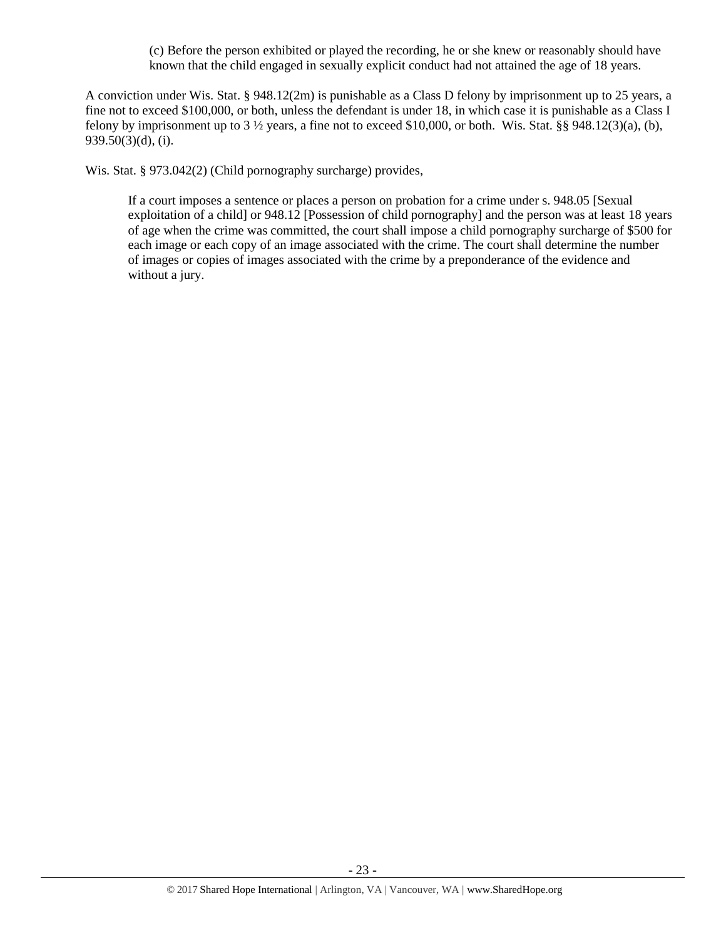(c) Before the person exhibited or played the recording, he or she knew or reasonably should have known that the child engaged in sexually explicit conduct had not attained the age of 18 years.

A conviction under Wis. Stat. § 948.12(2m) is punishable as a Class D felony by imprisonment up to 25 years, a fine not to exceed \$100,000, or both, unless the defendant is under 18, in which case it is punishable as a Class I felony by imprisonment up to  $3\frac{1}{2}$  years, a fine not to exceed \$10,000, or both. Wis. Stat. §§ 948.12(3)(a), (b), 939.50(3)(d), (i).

Wis. Stat. § 973.042(2) (Child pornography surcharge) provides,

If a court imposes a sentence or places a person on probation for a crime under s. 948.05 [Sexual exploitation of a child] or 948.12 [Possession of child pornography] and the person was at least 18 years of age when the crime was committed, the court shall impose a child pornography surcharge of \$500 for each image or each copy of an image associated with the crime. The court shall determine the number of images or copies of images associated with the crime by a preponderance of the evidence and without a jury.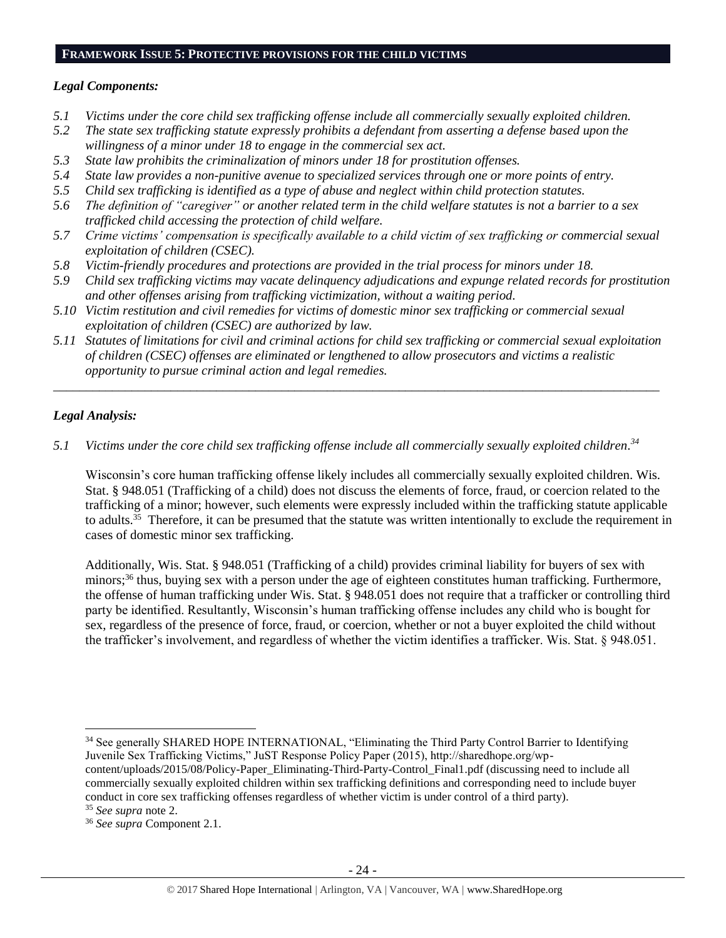#### **FRAMEWORK ISSUE 5: PROTECTIVE PROVISIONS FOR THE CHILD VICTIMS**

#### *Legal Components:*

- *5.1 Victims under the core child sex trafficking offense include all commercially sexually exploited children.*
- *5.2 The state sex trafficking statute expressly prohibits a defendant from asserting a defense based upon the willingness of a minor under 18 to engage in the commercial sex act.*
- *5.3 State law prohibits the criminalization of minors under 18 for prostitution offenses.*
- *5.4 State law provides a non-punitive avenue to specialized services through one or more points of entry.*
- *5.5 Child sex trafficking is identified as a type of abuse and neglect within child protection statutes.*
- *5.6 The definition of "caregiver" or another related term in the child welfare statutes is not a barrier to a sex trafficked child accessing the protection of child welfare.*
- *5.7 Crime victims' compensation is specifically available to a child victim of sex trafficking or commercial sexual exploitation of children (CSEC).*
- *5.8 Victim-friendly procedures and protections are provided in the trial process for minors under 18.*
- *5.9 Child sex trafficking victims may vacate delinquency adjudications and expunge related records for prostitution and other offenses arising from trafficking victimization, without a waiting period.*
- *5.10 Victim restitution and civil remedies for victims of domestic minor sex trafficking or commercial sexual exploitation of children (CSEC) are authorized by law.*
- *5.11 Statutes of limitations for civil and criminal actions for child sex trafficking or commercial sexual exploitation of children (CSEC) offenses are eliminated or lengthened to allow prosecutors and victims a realistic opportunity to pursue criminal action and legal remedies.*

*\_\_\_\_\_\_\_\_\_\_\_\_\_\_\_\_\_\_\_\_\_\_\_\_\_\_\_\_\_\_\_\_\_\_\_\_\_\_\_\_\_\_\_\_\_\_\_\_\_\_\_\_\_\_\_\_\_\_\_\_\_\_\_\_\_\_\_\_\_\_\_\_\_\_\_\_\_\_\_\_\_\_\_\_\_\_\_\_\_\_\_\_\_*

# *Legal Analysis:*

*5.1 Victims under the core child sex trafficking offense include all commercially sexually exploited children. 34*

Wisconsin's core human trafficking offense likely includes all commercially sexually exploited children. Wis. Stat. § 948.051 (Trafficking of a child) does not discuss the elements of force, fraud, or coercion related to the trafficking of a minor; however, such elements were expressly included within the trafficking statute applicable to adults.<sup>35</sup> Therefore, it can be presumed that the statute was written intentionally to exclude the requirement in cases of domestic minor sex trafficking.

Additionally, Wis. Stat. § 948.051 (Trafficking of a child) provides criminal liability for buyers of sex with minors;<sup>36</sup> thus, buying sex with a person under the age of eighteen constitutes human trafficking. Furthermore, the offense of human trafficking under Wis. Stat. § 948.051 does not require that a trafficker or controlling third party be identified. Resultantly, Wisconsin's human trafficking offense includes any child who is bought for sex, regardless of the presence of force, fraud, or coercion, whether or not a buyer exploited the child without the trafficker's involvement, and regardless of whether the victim identifies a trafficker. Wis. Stat. § 948.051.

content/uploads/2015/08/Policy-Paper\_Eliminating-Third-Party-Control\_Final1.pdf (discussing need to include all commercially sexually exploited children within sex trafficking definitions and corresponding need to include buyer conduct in core sex trafficking offenses regardless of whether victim is under control of a third party).

l

<sup>&</sup>lt;sup>34</sup> See generally SHARED HOPE INTERNATIONAL, "Eliminating the Third Party Control Barrier to Identifying Juvenile Sex Trafficking Victims," JuST Response Policy Paper (2015), http://sharedhope.org/wp-

<sup>35</sup> *See supra* note [2.](#page-0-0)

<sup>36</sup> *See supra* Component 2.1.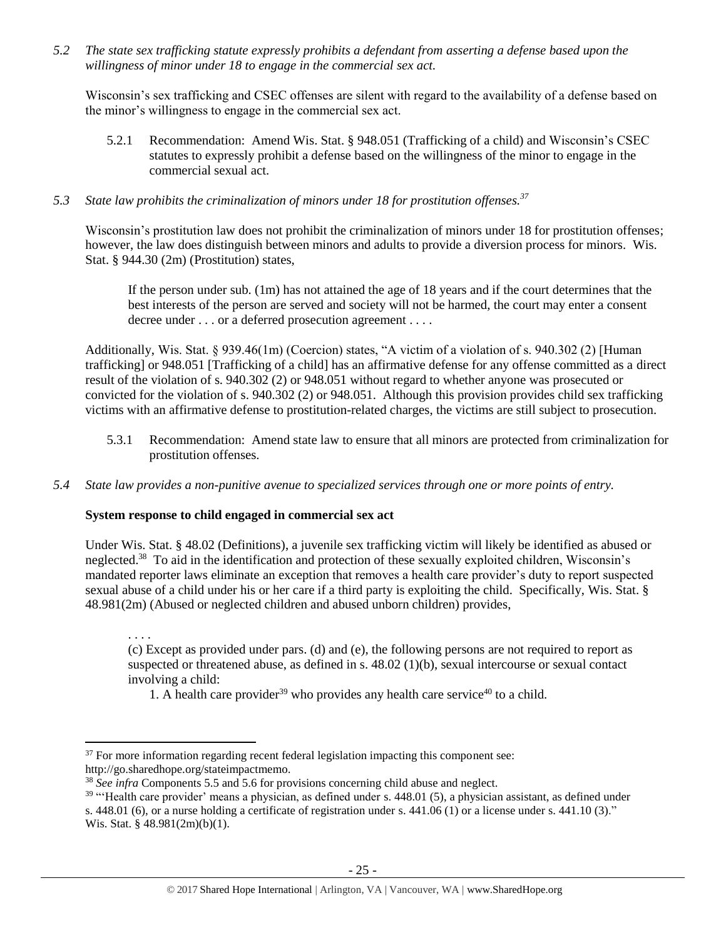*5.2 The state sex trafficking statute expressly prohibits a defendant from asserting a defense based upon the willingness of minor under 18 to engage in the commercial sex act.* 

Wisconsin's sex trafficking and CSEC offenses are silent with regard to the availability of a defense based on the minor's willingness to engage in the commercial sex act.

5.2.1 Recommendation: Amend Wis. Stat. § 948.051 (Trafficking of a child) and Wisconsin's CSEC statutes to expressly prohibit a defense based on the willingness of the minor to engage in the commercial sexual act.

# *5.3 State law prohibits the criminalization of minors under 18 for prostitution offenses.<sup>37</sup>*

Wisconsin's prostitution law does not prohibit the criminalization of minors under 18 for prostitution offenses; however, the law does distinguish between minors and adults to provide a diversion process for minors. Wis. Stat. § 944.30 (2m) (Prostitution) states,

If the person under sub. (1m) has not attained the age of 18 years and if the court determines that the best interests of the person are served and society will not be harmed, the court may enter a consent decree under . . . or a deferred prosecution agreement . . . .

Additionally, Wis. Stat. § 939.46(1m) (Coercion) states, "A victim of a violation of s. 940.302 (2) [Human] trafficking] or 948.051 [Trafficking of a child] has an affirmative defense for any offense committed as a direct result of the violation of s. 940.302 (2) or 948.051 without regard to whether anyone was prosecuted or convicted for the violation of s. 940.302 (2) or 948.051. Although this provision provides child sex trafficking victims with an affirmative defense to prostitution-related charges, the victims are still subject to prosecution.

- 5.3.1 Recommendation: Amend state law to ensure that all minors are protected from criminalization for prostitution offenses.
- *5.4 State law provides a non-punitive avenue to specialized services through one or more points of entry.*

#### **System response to child engaged in commercial sex act**

 $\overline{a}$ 

Under Wis. Stat. § 48.02 (Definitions), a juvenile sex trafficking victim will likely be identified as abused or neglected.<sup>38</sup> To aid in the identification and protection of these sexually exploited children, Wisconsin's mandated reporter laws eliminate an exception that removes a health care provider's duty to report suspected sexual abuse of a child under his or her care if a third party is exploiting the child. Specifically, Wis. Stat. § 48.981(2m) (Abused or neglected children and abused unborn children) provides,

. . . . (c) Except as provided under pars. (d) and (e), the following persons are not required to report as suspected or threatened abuse, as defined in s. 48.02 (1)(b), sexual intercourse or sexual contact involving a child:

1. A health care provider<sup>39</sup> who provides any health care service<sup>40</sup> to a child.

 $37$  For more information regarding recent federal legislation impacting this component see: http://go.sharedhope.org/stateimpactmemo.

<sup>&</sup>lt;sup>38</sup> *See infra* Components 5.5 and 5.6 for provisions concerning child abuse and neglect.

 $39$  "'Health care provider' means a physician, as defined under s. 448.01 (5), a physician assistant, as defined under s. 448.01 (6), or a nurse holding a certificate of registration under s. 441.06 (1) or a license under s. 441.10 (3)." Wis. Stat. § 48.981(2m)(b)(1).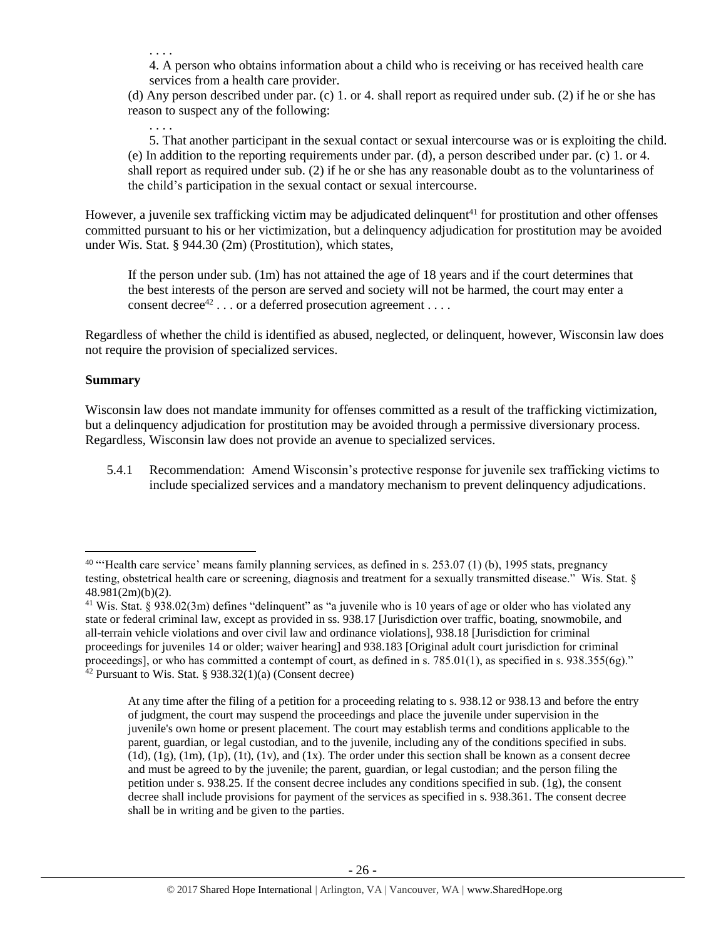. . . .

. . . .

4. A person who obtains information about a child who is receiving or has received health care services from a health care provider.

(d) Any person described under par. (c) 1. or 4. shall report as required under sub. (2) if he or she has reason to suspect any of the following:

5. That another participant in the sexual contact or sexual intercourse was or is exploiting the child. (e) In addition to the reporting requirements under par. (d), a person described under par. (c) 1. or 4. shall report as required under sub. (2) if he or she has any reasonable doubt as to the voluntariness of the child's participation in the sexual contact or sexual intercourse.

However, a juvenile sex trafficking victim may be adjudicated delinquent<sup>41</sup> for prostitution and other offenses committed pursuant to his or her victimization, but a delinquency adjudication for prostitution may be avoided under Wis. Stat. § 944.30 (2m) (Prostitution), which states,

If the person under sub. (1m) has not attained the age of 18 years and if the court determines that the best interests of the person are served and society will not be harmed, the court may enter a consent decree<sup>42</sup>... or a deferred prosecution agreement....

Regardless of whether the child is identified as abused, neglected, or delinquent, however, Wisconsin law does not require the provision of specialized services.

# **Summary**

 $\overline{\phantom{a}}$ 

Wisconsin law does not mandate immunity for offenses committed as a result of the trafficking victimization, but a delinquency adjudication for prostitution may be avoided through a permissive diversionary process. Regardless, Wisconsin law does not provide an avenue to specialized services.

5.4.1 Recommendation: Amend Wisconsin's protective response for juvenile sex trafficking victims to include specialized services and a mandatory mechanism to prevent delinquency adjudications.

At any time after the filing of a petition for a proceeding relating to s. 938.12 or 938.13 and before the entry of judgment, the court may suspend the proceedings and place the juvenile under supervision in the juvenile's own home or present placement. The court may establish terms and conditions applicable to the parent, guardian, or legal custodian, and to the juvenile, including any of the conditions specified in subs.  $(1d)$ ,  $(1g)$ ,  $(1m)$ ,  $(1p)$ ,  $(1t)$ ,  $(1v)$ , and  $(1x)$ . The order under this section shall be known as a consent decree and must be agreed to by the juvenile; the parent, guardian, or legal custodian; and the person filing the petition under s. 938.25. If the consent decree includes any conditions specified in sub. (1g), the consent decree shall include provisions for payment of the services as specified in s. 938.361. The consent decree shall be in writing and be given to the parties.

 $40$  "'Health care service' means family planning services, as defined in s. 253.07 (1) (b), 1995 stats, pregnancy testing, obstetrical health care or screening, diagnosis and treatment for a sexually transmitted disease." Wis. Stat. § 48.981(2m)(b)(2).

<sup>&</sup>lt;sup>41</sup> Wis. Stat. § 938.02(3m) defines "delinquent" as "a juvenile who is 10 years of age or older who has violated any state or federal criminal law, except as provided in ss. 938.17 [Jurisdiction over traffic, boating, snowmobile, and all-terrain vehicle violations and over civil law and ordinance violations], 938.18 [Jurisdiction for criminal proceedings for juveniles 14 or older; waiver hearing] and 938.183 [Original adult court jurisdiction for criminal proceedings], or who has committed a contempt of court, as defined in s. 785.01(1), as specified in s. 938.355(6g)." <sup>42</sup> Pursuant to Wis. Stat. § 938.32(1)(a) (Consent decree)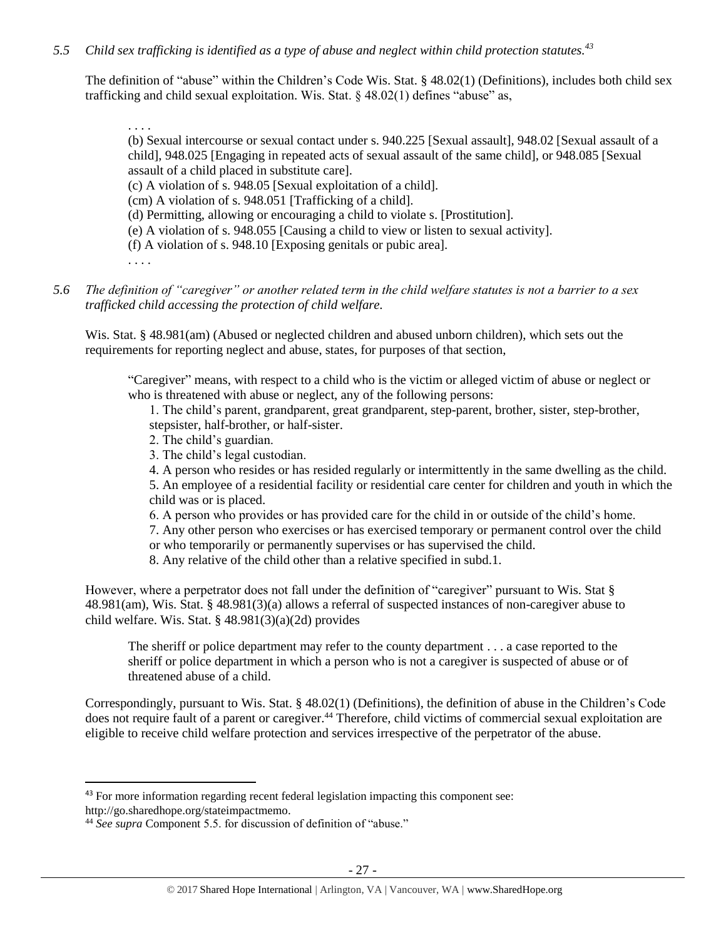# *5.5 Child sex trafficking is identified as a type of abuse and neglect within child protection statutes.<sup>43</sup>*

The definition of "abuse" within the Children's Code Wis. Stat. § 48.02(1) (Definitions), includes both child sex trafficking and child sexual exploitation. Wis. Stat. § 48.02(1) defines "abuse" as,

. . . .

(b) Sexual intercourse or sexual contact under s. 940.225 [Sexual assault], 948.02 [Sexual assault of a child], 948.025 [Engaging in repeated acts of sexual assault of the same child], or 948.085 [Sexual assault of a child placed in substitute care].

(c) A violation of s. 948.05 [Sexual exploitation of a child].

(cm) A violation of s. 948.051 [Trafficking of a child].

(d) Permitting, allowing or encouraging a child to violate s. [Prostitution].

(e) A violation of s. 948.055 [Causing a child to view or listen to sexual activity].

(f) A violation of s. 948.10 [Exposing genitals or pubic area].

. . . .

 $\overline{\phantom{a}}$ 

### *5.6 The definition of "caregiver" or another related term in the child welfare statutes is not a barrier to a sex trafficked child accessing the protection of child welfare.*

Wis. Stat. § 48.981(am) (Abused or neglected children and abused unborn children), which sets out the requirements for reporting neglect and abuse, states, for purposes of that section,

"Caregiver" means, with respect to a child who is the victim or alleged victim of abuse or neglect or who is threatened with abuse or neglect, any of the following persons:

1. The child's parent, grandparent, great grandparent, step-parent, brother, sister, step-brother, stepsister, half-brother, or half-sister.

- 2. The child's guardian.
- 3. The child's legal custodian.

4. A person who resides or has resided regularly or intermittently in the same dwelling as the child.

5. An employee of a residential facility or residential care center for children and youth in which the child was or is placed.

6. A person who provides or has provided care for the child in or outside of the child's home.

7. Any other person who exercises or has exercised temporary or permanent control over the child

- or who temporarily or permanently supervises or has supervised the child.
- 8. Any relative of the child other than a relative specified in subd.1.

However, where a perpetrator does not fall under the definition of "caregiver" pursuant to Wis. Stat § 48.981(am), Wis. Stat. § 48.981(3)(a) allows a referral of suspected instances of non-caregiver abuse to child welfare. Wis. Stat. § 48.981(3)(a)(2d) provides

The sheriff or police department may refer to the county department . . . a case reported to the sheriff or police department in which a person who is not a caregiver is suspected of abuse or of threatened abuse of a child.

Correspondingly, pursuant to Wis. Stat. § 48.02(1) (Definitions), the definition of abuse in the Children's Code does not require fault of a parent or caregiver.<sup>44</sup> Therefore, child victims of commercial sexual exploitation are eligible to receive child welfare protection and services irrespective of the perpetrator of the abuse.

<sup>&</sup>lt;sup>43</sup> For more information regarding recent federal legislation impacting this component see: http://go.sharedhope.org/stateimpactmemo.

<sup>44</sup> *See supra* Component 5.5. for discussion of definition of "abuse."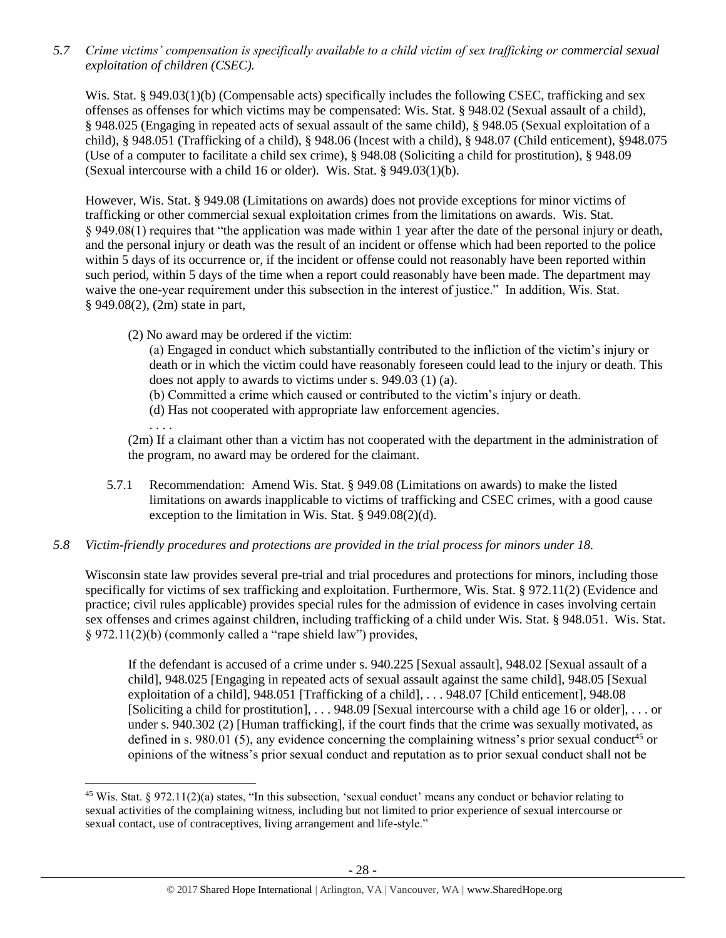*5.7 Crime victims' compensation is specifically available to a child victim of sex trafficking or commercial sexual exploitation of children (CSEC).*

Wis. Stat. § 949.03(1)(b) (Compensable acts) specifically includes the following CSEC, trafficking and sex offenses as offenses for which victims may be compensated: Wis. Stat. § 948.02 (Sexual assault of a child), § 948.025 (Engaging in repeated acts of sexual assault of the same child), § 948.05 (Sexual exploitation of a child), § 948.051 (Trafficking of a child), § 948.06 (Incest with a child), § 948.07 (Child enticement), §948.075 (Use of a computer to facilitate a child sex crime), § 948.08 (Soliciting a child for prostitution), § 948.09 (Sexual intercourse with a child 16 or older). Wis. Stat. § 949.03(1)(b).

However, Wis. Stat. § 949.08 (Limitations on awards) does not provide exceptions for minor victims of trafficking or other commercial sexual exploitation crimes from the limitations on awards. Wis. Stat. § 949.08(1) requires that "the application was made within 1 year after the date of the personal injury or death, and the personal injury or death was the result of an incident or offense which had been reported to the police within 5 days of its occurrence or, if the incident or offense could not reasonably have been reported within such period, within 5 days of the time when a report could reasonably have been made. The department may waive the one-year requirement under this subsection in the interest of justice." In addition, Wis. Stat. § 949.08(2), (2m) state in part,

(2) No award may be ordered if the victim:

(a) Engaged in conduct which substantially contributed to the infliction of the victim's injury or death or in which the victim could have reasonably foreseen could lead to the injury or death. This does not apply to awards to victims under s. 949.03 (1) (a).

(b) Committed a crime which caused or contributed to the victim's injury or death.

(d) Has not cooperated with appropriate law enforcement agencies.

. . . .

 $\overline{\phantom{a}}$ 

(2m) If a claimant other than a victim has not cooperated with the department in the administration of the program, no award may be ordered for the claimant.

5.7.1 Recommendation: Amend Wis. Stat. § 949.08 (Limitations on awards) to make the listed limitations on awards inapplicable to victims of trafficking and CSEC crimes, with a good cause exception to the limitation in Wis. Stat. § 949.08(2)(d).

# *5.8 Victim-friendly procedures and protections are provided in the trial process for minors under 18.*

Wisconsin state law provides several pre-trial and trial procedures and protections for minors, including those specifically for victims of sex trafficking and exploitation. Furthermore, Wis. Stat. § 972.11(2) (Evidence and practice; civil rules applicable) provides special rules for the admission of evidence in cases involving certain sex offenses and crimes against children, including trafficking of a child under Wis. Stat. § 948.051. Wis. Stat. § 972.11(2)(b) (commonly called a "rape shield law") provides,

If the defendant is accused of a crime under s. 940.225 [Sexual assault], 948.02 [Sexual assault of a child], 948.025 [Engaging in repeated acts of sexual assault against the same child], 948.05 [Sexual exploitation of a child], 948.051 [Trafficking of a child], . . . 948.07 [Child enticement], 948.08 [Soliciting a child for prostitution], . . . 948.09 [Sexual intercourse with a child age 16 or older], . . . or under s. 940.302 (2) [Human trafficking], if the court finds that the crime was sexually motivated, as defined in s. 980.01 (5), any evidence concerning the complaining witness's prior sexual conduct<sup>45</sup> or opinions of the witness's prior sexual conduct and reputation as to prior sexual conduct shall not be

<sup>&</sup>lt;sup>45</sup> Wis. Stat. § 972.11(2)(a) states, "In this subsection, 'sexual conduct' means any conduct or behavior relating to sexual activities of the complaining witness, including but not limited to prior experience of sexual intercourse or sexual contact, use of contraceptives, living arrangement and life-style."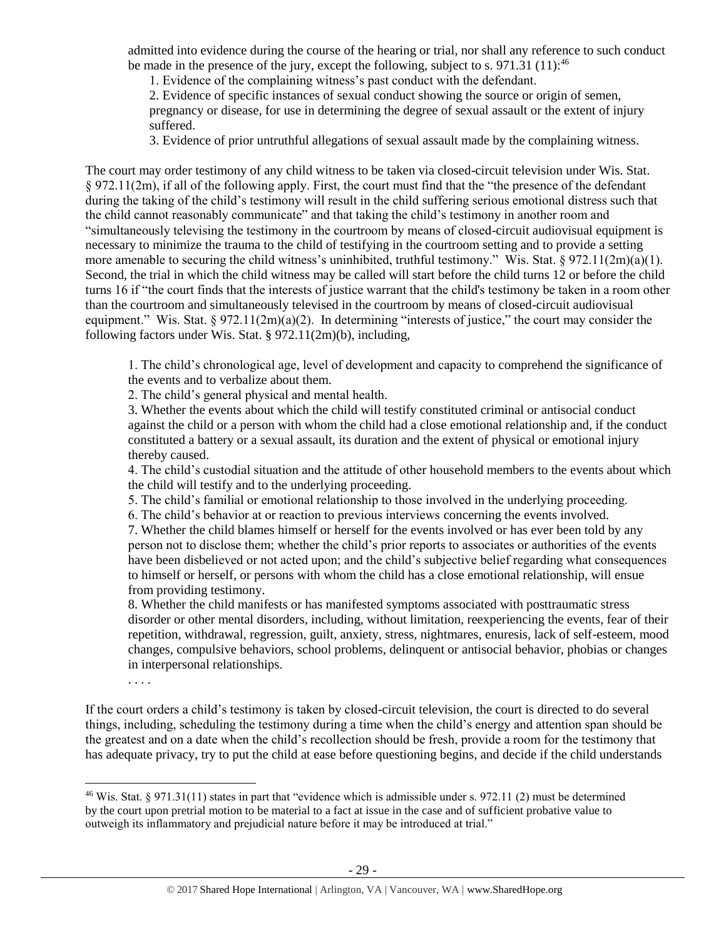admitted into evidence during the course of the hearing or trial, nor shall any reference to such conduct be made in the presence of the jury, except the following, subject to s. 971.31 (11):  $46$ 

1. Evidence of the complaining witness's past conduct with the defendant.

2. Evidence of specific instances of sexual conduct showing the source or origin of semen, pregnancy or disease, for use in determining the degree of sexual assault or the extent of injury suffered.

3. Evidence of prior untruthful allegations of sexual assault made by the complaining witness.

The court may order testimony of any child witness to be taken via closed-circuit television under Wis. Stat. § 972.11(2m), if all of the following apply. First, the court must find that the "the presence of the defendant during the taking of the child's testimony will result in the child suffering serious emotional distress such that the child cannot reasonably communicate" and that taking the child's testimony in another room and "simultaneously televising the testimony in the courtroom by means of closed-circuit audiovisual equipment is necessary to minimize the trauma to the child of testifying in the courtroom setting and to provide a setting more amenable to securing the child witness's uninhibited, truthful testimony." Wis. Stat. § 972.11(2m)(a)(1). Second, the trial in which the child witness may be called will start before the child turns 12 or before the child turns 16 if "the court finds that the interests of justice warrant that the child's testimony be taken in a room other than the courtroom and simultaneously televised in the courtroom by means of closed-circuit audiovisual equipment." Wis. Stat.  $\S 972.11(2m)(a)(2)$ . In determining "interests of justice," the court may consider the following factors under Wis. Stat. § 972.11(2m)(b), including,

1. The child's chronological age, level of development and capacity to comprehend the significance of the events and to verbalize about them.

2. The child's general physical and mental health.

. . . .

 $\overline{\phantom{a}}$ 

3. Whether the events about which the child will testify constituted criminal or antisocial conduct against the child or a person with whom the child had a close emotional relationship and, if the conduct constituted a battery or a sexual assault, its duration and the extent of physical or emotional injury thereby caused.

4. The child's custodial situation and the attitude of other household members to the events about which the child will testify and to the underlying proceeding.

5. The child's familial or emotional relationship to those involved in the underlying proceeding.

6. The child's behavior at or reaction to previous interviews concerning the events involved.

7. Whether the child blames himself or herself for the events involved or has ever been told by any person not to disclose them; whether the child's prior reports to associates or authorities of the events have been disbelieved or not acted upon; and the child's subjective belief regarding what consequences to himself or herself, or persons with whom the child has a close emotional relationship, will ensue from providing testimony.

8. Whether the child manifests or has manifested symptoms associated with posttraumatic stress disorder or other mental disorders, including, without limitation, reexperiencing the events, fear of their repetition, withdrawal, regression, guilt, anxiety, stress, nightmares, enuresis, lack of self-esteem, mood changes, compulsive behaviors, school problems, delinquent or antisocial behavior, phobias or changes in interpersonal relationships.

If the court orders a child's testimony is taken by closed-circuit television, the court is directed to do several things, including, scheduling the testimony during a time when the child's energy and attention span should be the greatest and on a date when the child's recollection should be fresh, provide a room for the testimony that has adequate privacy, try to put the child at ease before questioning begins, and decide if the child understands

<sup>&</sup>lt;sup>46</sup> Wis. Stat. § 971.31(11) states in part that "evidence which is admissible under s. 972.11 (2) must be determined by the court upon pretrial motion to be material to a fact at issue in the case and of sufficient probative value to outweigh its inflammatory and prejudicial nature before it may be introduced at trial."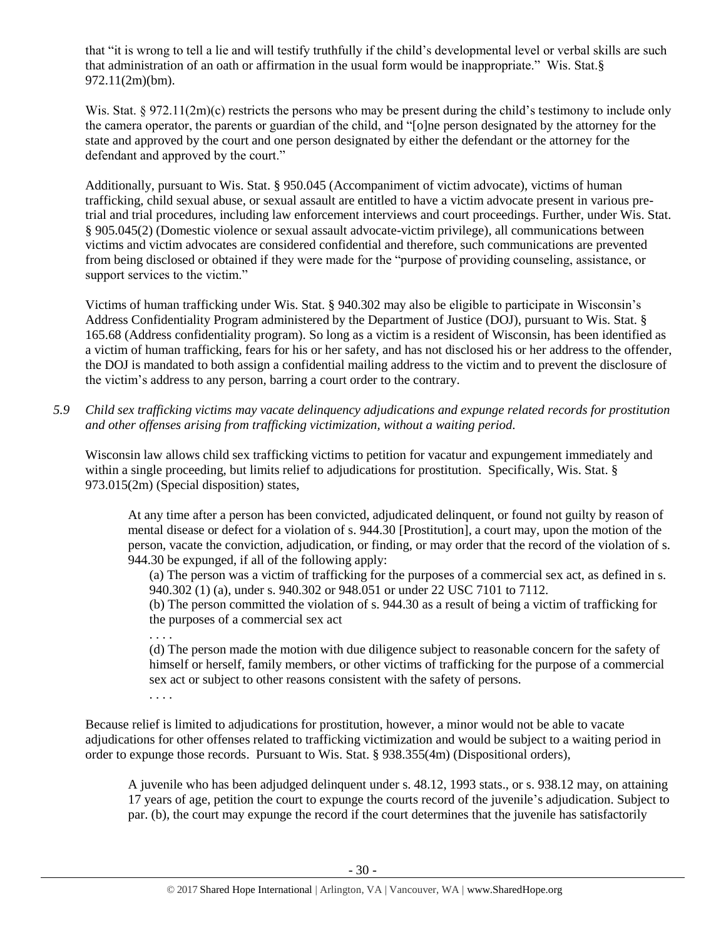that "it is wrong to tell a lie and will testify truthfully if the child's developmental level or verbal skills are such that administration of an oath or affirmation in the usual form would be inappropriate." Wis. Stat.§ 972.11(2m)(bm).

Wis. Stat. § 972.11(2m)(c) restricts the persons who may be present during the child's testimony to include only the camera operator, the parents or guardian of the child, and "[o]ne person designated by the attorney for the state and approved by the court and one person designated by either the defendant or the attorney for the defendant and approved by the court."

Additionally, pursuant to Wis. Stat. § 950.045 (Accompaniment of victim advocate), victims of human trafficking, child sexual abuse, or sexual assault are entitled to have a victim advocate present in various pretrial and trial procedures, including law enforcement interviews and court proceedings. Further, under Wis. Stat. § 905.045(2) (Domestic violence or sexual assault advocate-victim privilege), all communications between victims and victim advocates are considered confidential and therefore, such communications are prevented from being disclosed or obtained if they were made for the "purpose of providing counseling, assistance, or support services to the victim."

Victims of human trafficking under Wis. Stat. § 940.302 may also be eligible to participate in Wisconsin's Address Confidentiality Program administered by the Department of Justice (DOJ), pursuant to Wis. Stat. § 165.68 (Address confidentiality program). So long as a victim is a resident of Wisconsin, has been identified as a victim of human trafficking, fears for his or her safety, and has not disclosed his or her address to the offender, the DOJ is mandated to both assign a confidential mailing address to the victim and to prevent the disclosure of the victim's address to any person, barring a court order to the contrary.

*5.9 Child sex trafficking victims may vacate delinquency adjudications and expunge related records for prostitution and other offenses arising from trafficking victimization, without a waiting period.*

Wisconsin law allows child sex trafficking victims to petition for vacatur and expungement immediately and within a single proceeding, but limits relief to adjudications for prostitution. Specifically, Wis. Stat. § 973.015(2m) (Special disposition) states,

At any time after a person has been convicted, adjudicated delinquent, or found not guilty by reason of mental disease or defect for a violation of s. 944.30 [Prostitution], a court may, upon the motion of the person, vacate the conviction, adjudication, or finding, or may order that the record of the violation of s. 944.30 be expunged, if all of the following apply:

(a) The person was a victim of trafficking for the purposes of a commercial sex act, as defined in s. 940.302 (1) (a), under s. 940.302 or 948.051 or under 22 USC 7101 to 7112.

(b) The person committed the violation of s. 944.30 as a result of being a victim of trafficking for the purposes of a commercial sex act

. . . .

(d) The person made the motion with due diligence subject to reasonable concern for the safety of himself or herself, family members, or other victims of trafficking for the purpose of a commercial sex act or subject to other reasons consistent with the safety of persons.

. . . .

Because relief is limited to adjudications for prostitution, however, a minor would not be able to vacate adjudications for other offenses related to trafficking victimization and would be subject to a waiting period in order to expunge those records. Pursuant to Wis. Stat. § 938.355(4m) (Dispositional orders),

A juvenile who has been adjudged delinquent under s. 48.12, 1993 stats., or s. 938.12 may, on attaining 17 years of age, petition the court to expunge the courts record of the juvenile's adjudication. Subject to par. (b), the court may expunge the record if the court determines that the juvenile has satisfactorily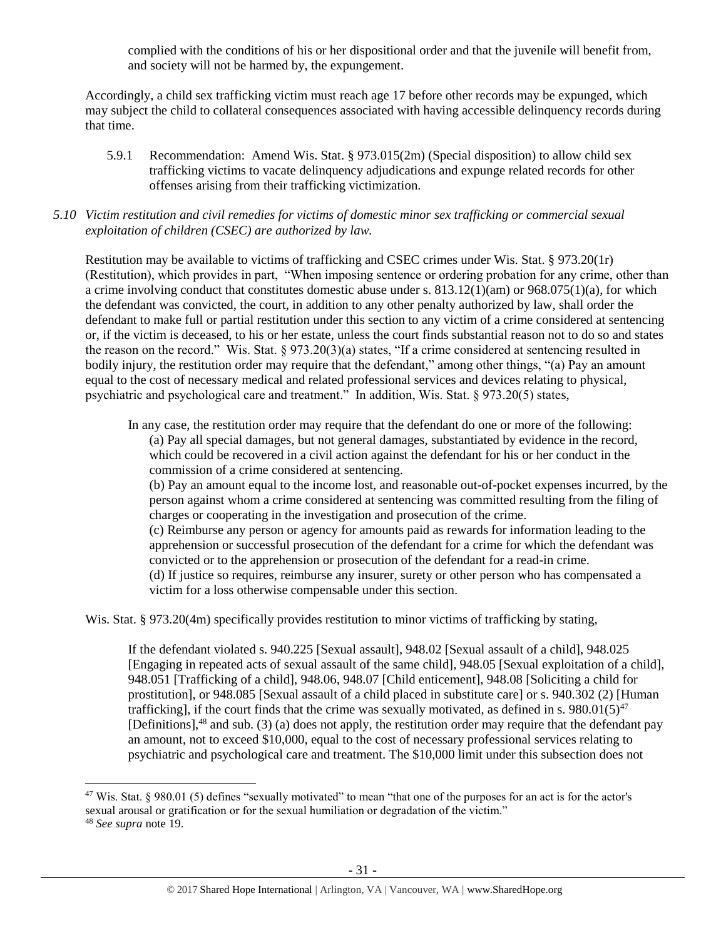complied with the conditions of his or her dispositional order and that the juvenile will benefit from, and society will not be harmed by, the expungement.

Accordingly, a child sex trafficking victim must reach age 17 before other records may be expunged, which may subject the child to collateral consequences associated with having accessible delinquency records during that time.

5.9.1 Recommendation: Amend Wis. Stat. § 973.015(2m) (Special disposition) to allow child sex trafficking victims to vacate delinquency adjudications and expunge related records for other offenses arising from their trafficking victimization.

## *5.10 Victim restitution and civil remedies for victims of domestic minor sex trafficking or commercial sexual exploitation of children (CSEC) are authorized by law.*

Restitution may be available to victims of trafficking and CSEC crimes under Wis. Stat. § 973.20(1r) (Restitution), which provides in part, "When imposing sentence or ordering probation for any crime, other than a crime involving conduct that constitutes domestic abuse under s. 813.12(1)(am) or 968.075(1)(a), for which the defendant was convicted, the court, in addition to any other penalty authorized by law, shall order the defendant to make full or partial restitution under this section to any victim of a crime considered at sentencing or, if the victim is deceased, to his or her estate, unless the court finds substantial reason not to do so and states the reason on the record." Wis. Stat. § 973.20(3)(a) states, "If a crime considered at sentencing resulted in bodily injury, the restitution order may require that the defendant," among other things, "(a) Pay an amount equal to the cost of necessary medical and related professional services and devices relating to physical, psychiatric and psychological care and treatment." In addition, Wis. Stat. § 973.20(5) states,

In any case, the restitution order may require that the defendant do one or more of the following:

(a) Pay all special damages, but not general damages, substantiated by evidence in the record, which could be recovered in a civil action against the defendant for his or her conduct in the commission of a crime considered at sentencing.

(b) Pay an amount equal to the income lost, and reasonable out-of-pocket expenses incurred, by the person against whom a crime considered at sentencing was committed resulting from the filing of charges or cooperating in the investigation and prosecution of the crime.

(c) Reimburse any person or agency for amounts paid as rewards for information leading to the apprehension or successful prosecution of the defendant for a crime for which the defendant was convicted or to the apprehension or prosecution of the defendant for a read-in crime. (d) If justice so requires, reimburse any insurer, surety or other person who has compensated a victim for a loss otherwise compensable under this section.

Wis. Stat. § 973.20(4m) specifically provides restitution to minor victims of trafficking by stating,

If the defendant violated s. 940.225 [Sexual assault], 948.02 [Sexual assault of a child], 948.025 [Engaging in repeated acts of sexual assault of the same child], 948.05 [Sexual exploitation of a child], 948.051 [Trafficking of a child], 948.06, 948.07 [Child enticement], 948.08 [Soliciting a child for prostitution], or 948.085 [Sexual assault of a child placed in substitute care] or s. 940.302 (2) [Human trafficking], if the court finds that the crime was sexually motivated, as defined in s. 980.01(5)<sup>47</sup> [Definitions],<sup>48</sup> and sub. (3) (a) does not apply, the restitution order may require that the defendant pay an amount, not to exceed \$10,000, equal to the cost of necessary professional services relating to psychiatric and psychological care and treatment. The \$10,000 limit under this subsection does not

 $\overline{\phantom{a}}$ 

 $47$  Wis. Stat. § 980.01 (5) defines "sexually motivated" to mean "that one of the purposes for an act is for the actor's sexual arousal or gratification or for the sexual humiliation or degradation of the victim."

<sup>48</sup> *See supra* note [19.](#page-11-0)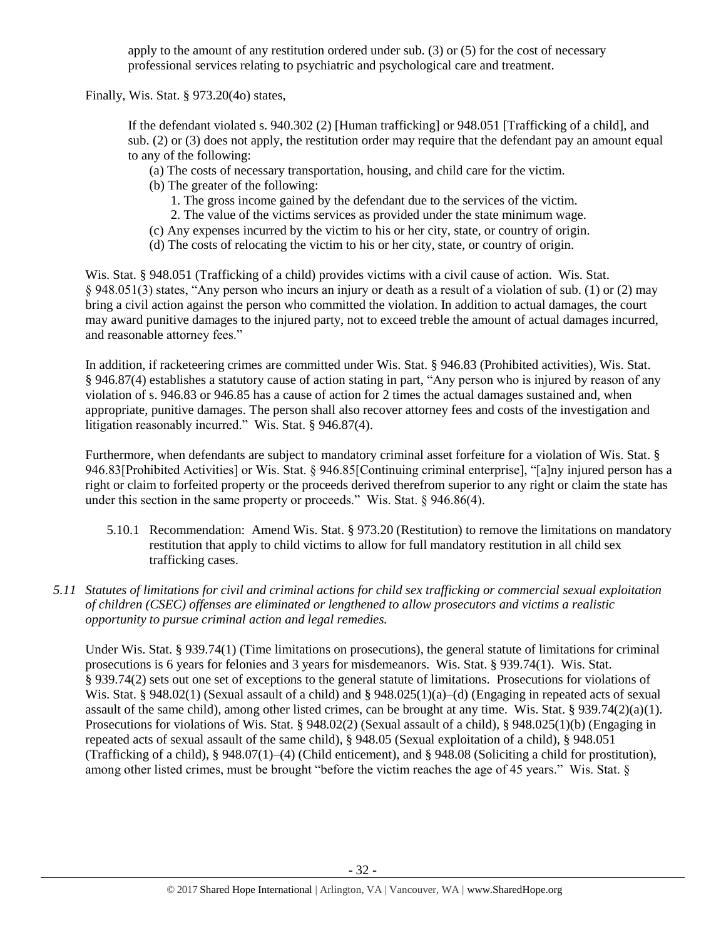apply to the amount of any restitution ordered under sub. (3) or (5) for the cost of necessary professional services relating to psychiatric and psychological care and treatment.

Finally, Wis. Stat. § 973.20(4o) states,

If the defendant violated s. 940.302 (2) [Human trafficking] or 948.051 [Trafficking of a child], and sub. (2) or (3) does not apply, the restitution order may require that the defendant pay an amount equal to any of the following:

- (a) The costs of necessary transportation, housing, and child care for the victim.
- (b) The greater of the following:
	- 1. The gross income gained by the defendant due to the services of the victim.
	- 2. The value of the victims services as provided under the state minimum wage.
- (c) Any expenses incurred by the victim to his or her city, state, or country of origin.
- (d) The costs of relocating the victim to his or her city, state, or country of origin.

Wis. Stat. § 948.051 (Trafficking of a child) provides victims with a civil cause of action. Wis. Stat. § 948.051(3) states, "Any person who incurs an injury or death as a result of a violation of sub. (1) or (2) may bring a civil action against the person who committed the violation. In addition to actual damages, the court may award punitive damages to the injured party, not to exceed treble the amount of actual damages incurred, and reasonable attorney fees."

In addition, if racketeering crimes are committed under Wis. Stat. § 946.83 (Prohibited activities), Wis. Stat. § 946.87(4) establishes a statutory cause of action stating in part, "Any person who is injured by reason of any violation of s. 946.83 or 946.85 has a cause of action for 2 times the actual damages sustained and, when appropriate, punitive damages. The person shall also recover attorney fees and costs of the investigation and litigation reasonably incurred." Wis. Stat. § 946.87(4).

Furthermore, when defendants are subject to mandatory criminal asset forfeiture for a violation of Wis. Stat. § 946.83[Prohibited Activities] or Wis. Stat. § 946.85[Continuing criminal enterprise], "[a]ny injured person has a right or claim to forfeited property or the proceeds derived therefrom superior to any right or claim the state has under this section in the same property or proceeds." Wis. Stat. § 946.86(4).

- 5.10.1 Recommendation: Amend Wis. Stat. § 973.20 (Restitution) to remove the limitations on mandatory restitution that apply to child victims to allow for full mandatory restitution in all child sex trafficking cases.
- *5.11 Statutes of limitations for civil and criminal actions for child sex trafficking or commercial sexual exploitation of children (CSEC) offenses are eliminated or lengthened to allow prosecutors and victims a realistic opportunity to pursue criminal action and legal remedies.*

Under Wis. Stat. § 939.74(1) (Time limitations on prosecutions), the general statute of limitations for criminal prosecutions is 6 years for felonies and 3 years for misdemeanors. Wis. Stat. § 939.74(1). Wis. Stat. § 939.74(2) sets out one set of exceptions to the general statute of limitations. Prosecutions for violations of Wis. Stat. § 948.02(1) (Sexual assault of a child) and § 948.025(1)(a)–(d) (Engaging in repeated acts of sexual assault of the same child), among other listed crimes, can be brought at any time. Wis. Stat. § 939.74(2)(a)(1). Prosecutions for violations of Wis. Stat. § 948.02(2) (Sexual assault of a child), § 948.025(1)(b) (Engaging in repeated acts of sexual assault of the same child), § 948.05 (Sexual exploitation of a child), § 948.051 (Trafficking of a child), § 948.07(1)–(4) (Child enticement), and § 948.08 (Soliciting a child for prostitution), among other listed crimes, must be brought "before the victim reaches the age of 45 years." Wis. Stat. §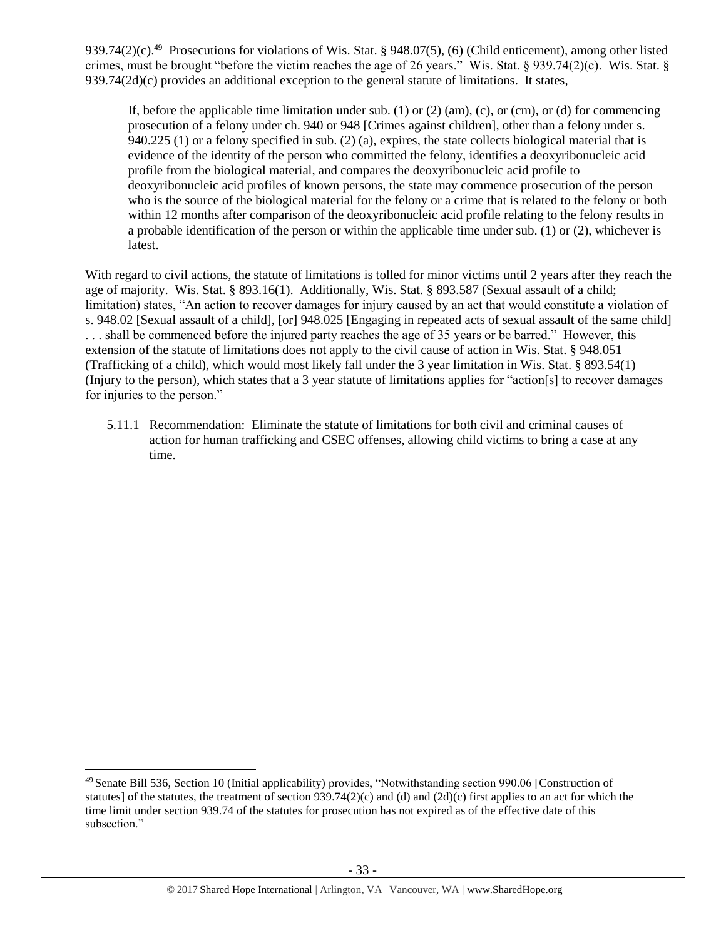939.74(2)(c).<sup>49</sup> Prosecutions for violations of Wis. Stat. § 948.07(5), (6) (Child enticement), among other listed crimes, must be brought "before the victim reaches the age of 26 years." Wis. Stat. § 939.74(2)(c). Wis. Stat. §  $939.74(2d)(c)$  provides an additional exception to the general statute of limitations. It states,

If, before the applicable time limitation under sub.  $(1)$  or  $(2)$  (am),  $(c)$ , or  $(cm)$ , or  $(d)$  for commencing prosecution of a felony under ch. 940 or 948 [Crimes against children], other than a felony under s. 940.225 (1) or a felony specified in sub. (2) (a), expires, the state collects biological material that is evidence of the identity of the person who committed the felony, identifies a deoxyribonucleic acid profile from the biological material, and compares the deoxyribonucleic acid profile to deoxyribonucleic acid profiles of known persons, the state may commence prosecution of the person who is the source of the biological material for the felony or a crime that is related to the felony or both within 12 months after comparison of the deoxyribonucleic acid profile relating to the felony results in a probable identification of the person or within the applicable time under sub. (1) or (2), whichever is latest.

With regard to civil actions, the statute of limitations is tolled for minor victims until 2 years after they reach the age of majority. Wis. Stat. § 893.16(1). Additionally, Wis. Stat. § 893.587 (Sexual assault of a child; limitation) states, "An action to recover damages for injury caused by an act that would constitute a violation of s. 948.02 [Sexual assault of a child], [or] 948.025 [Engaging in repeated acts of sexual assault of the same child] . . . shall be commenced before the injured party reaches the age of 35 years or be barred." However, this extension of the statute of limitations does not apply to the civil cause of action in Wis. Stat. § 948.051 (Trafficking of a child), which would most likely fall under the 3 year limitation in Wis. Stat. § 893.54(1) (Injury to the person), which states that a 3 year statute of limitations applies for "action[s] to recover damages for injuries to the person."

5.11.1 Recommendation: Eliminate the statute of limitations for both civil and criminal causes of action for human trafficking and CSEC offenses, allowing child victims to bring a case at any time.

 $\overline{a}$ 

<sup>49</sup> Senate Bill 536, Section 10 (Initial applicability) provides, "Notwithstanding section 990.06 [Construction of statutes] of the statutes, the treatment of section  $939.74(2)(c)$  and (d) and  $(2d)(c)$  first applies to an act for which the time limit under section 939.74 of the statutes for prosecution has not expired as of the effective date of this subsection."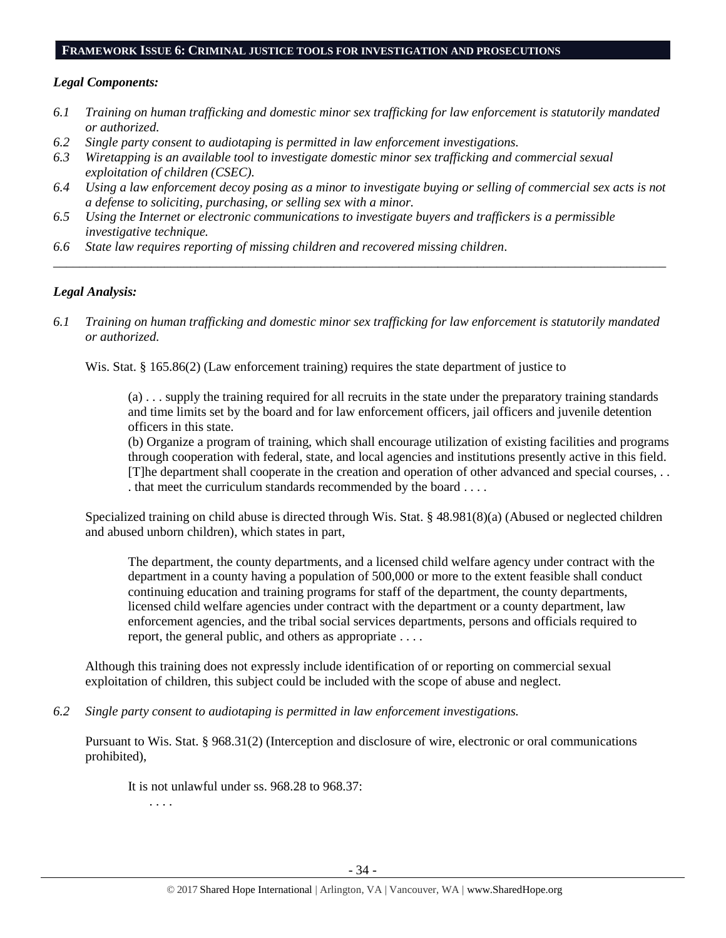#### **FRAMEWORK ISSUE 6: CRIMINAL JUSTICE TOOLS FOR INVESTIGATION AND PROSECUTIONS**

#### *Legal Components:*

- *6.1 Training on human trafficking and domestic minor sex trafficking for law enforcement is statutorily mandated or authorized.*
- *6.2 Single party consent to audiotaping is permitted in law enforcement investigations.*
- *6.3 Wiretapping is an available tool to investigate domestic minor sex trafficking and commercial sexual exploitation of children (CSEC).*
- *6.4 Using a law enforcement decoy posing as a minor to investigate buying or selling of commercial sex acts is not a defense to soliciting, purchasing, or selling sex with a minor.*
- *6.5 Using the Internet or electronic communications to investigate buyers and traffickers is a permissible investigative technique.*
- *6.6 State law requires reporting of missing children and recovered missing children.*

#### *Legal Analysis:*

*6.1 Training on human trafficking and domestic minor sex trafficking for law enforcement is statutorily mandated or authorized.*

*\_\_\_\_\_\_\_\_\_\_\_\_\_\_\_\_\_\_\_\_\_\_\_\_\_\_\_\_\_\_\_\_\_\_\_\_\_\_\_\_\_\_\_\_\_\_\_\_\_\_\_\_\_\_\_\_\_\_\_\_\_\_\_\_\_\_\_\_\_\_\_\_\_\_\_\_\_\_\_\_\_\_\_\_\_\_\_\_\_\_\_\_\_\_*

Wis. Stat. § 165.86(2) (Law enforcement training) requires the state department of justice to

(a) . . . supply the training required for all recruits in the state under the preparatory training standards and time limits set by the board and for law enforcement officers, jail officers and juvenile detention officers in this state.

(b) Organize a program of training, which shall encourage utilization of existing facilities and programs through cooperation with federal, state, and local agencies and institutions presently active in this field. [T]he department shall cooperate in the creation and operation of other advanced and special courses, . . . that meet the curriculum standards recommended by the board . . . .

Specialized training on child abuse is directed through Wis. Stat. § 48.981(8)(a) (Abused or neglected children and abused unborn children), which states in part,

The department, the county departments, and a licensed child welfare agency under contract with the department in a county having a population of 500,000 or more to the extent feasible shall conduct continuing education and training programs for staff of the department, the county departments, licensed child welfare agencies under contract with the department or a county department, law enforcement agencies, and the tribal social services departments, persons and officials required to report, the general public, and others as appropriate . . . .

Although this training does not expressly include identification of or reporting on commercial sexual exploitation of children, this subject could be included with the scope of abuse and neglect.

*6.2 Single party consent to audiotaping is permitted in law enforcement investigations.*

Pursuant to Wis. Stat. § 968.31(2) (Interception and disclosure of wire, electronic or oral communications prohibited),

It is not unlawful under ss. 968.28 to 968.37:

. . . .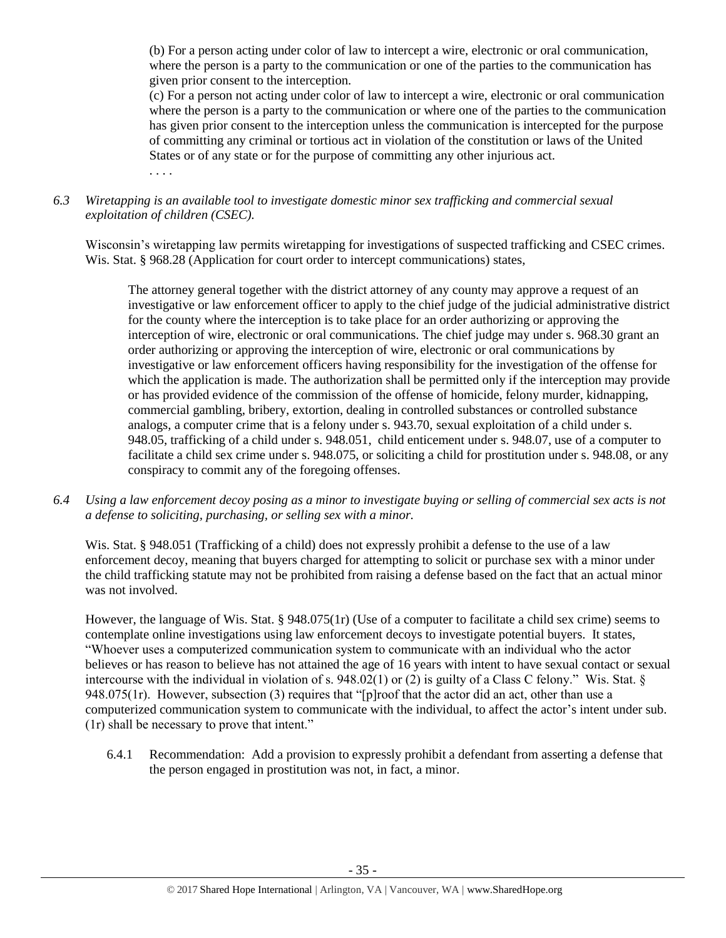(b) For a person acting under color of law to intercept a wire, electronic or oral communication, where the person is a party to the communication or one of the parties to the communication has given prior consent to the interception.

(c) For a person not acting under color of law to intercept a wire, electronic or oral communication where the person is a party to the communication or where one of the parties to the communication has given prior consent to the interception unless the communication is intercepted for the purpose of committing any criminal or tortious act in violation of the constitution or laws of the United States or of any state or for the purpose of committing any other injurious act. . . . .

# *6.3 Wiretapping is an available tool to investigate domestic minor sex trafficking and commercial sexual exploitation of children (CSEC).*

Wisconsin's wiretapping law permits wiretapping for investigations of suspected trafficking and CSEC crimes. Wis. Stat. § 968.28 (Application for court order to intercept communications) states,

The attorney general together with the district attorney of any county may approve a request of an investigative or law enforcement officer to apply to the chief judge of the judicial administrative district for the county where the interception is to take place for an order authorizing or approving the interception of wire, electronic or oral communications. The chief judge may under s. 968.30 grant an order authorizing or approving the interception of wire, electronic or oral communications by investigative or law enforcement officers having responsibility for the investigation of the offense for which the application is made. The authorization shall be permitted only if the interception may provide or has provided evidence of the commission of the offense of homicide, felony murder, kidnapping, commercial gambling, bribery, extortion, dealing in controlled substances or controlled substance analogs, a computer crime that is a felony under s. 943.70, sexual exploitation of a child under s. 948.05, trafficking of a child under s. 948.051, child enticement under s. 948.07, use of a computer to facilitate a child sex crime under s. 948.075, or soliciting a child for prostitution under s. 948.08, or any conspiracy to commit any of the foregoing offenses.

*6.4 Using a law enforcement decoy posing as a minor to investigate buying or selling of commercial sex acts is not a defense to soliciting, purchasing, or selling sex with a minor.*

Wis. Stat. § 948.051 (Trafficking of a child) does not expressly prohibit a defense to the use of a law enforcement decoy, meaning that buyers charged for attempting to solicit or purchase sex with a minor under the child trafficking statute may not be prohibited from raising a defense based on the fact that an actual minor was not involved.

However, the language of Wis. Stat. § 948.075(1r) (Use of a computer to facilitate a child sex crime) seems to contemplate online investigations using law enforcement decoys to investigate potential buyers. It states, "Whoever uses a computerized communication system to communicate with an individual who the actor believes or has reason to believe has not attained the age of 16 years with intent to have sexual contact or sexual intercourse with the individual in violation of s. 948.02(1) or (2) is guilty of a Class C felony." Wis. Stat. § 948.075(1r). However, subsection (3) requires that "[p]roof that the actor did an act, other than use a computerized communication system to communicate with the individual, to affect the actor's intent under sub. (1r) shall be necessary to prove that intent."

6.4.1 Recommendation: Add a provision to expressly prohibit a defendant from asserting a defense that the person engaged in prostitution was not, in fact, a minor.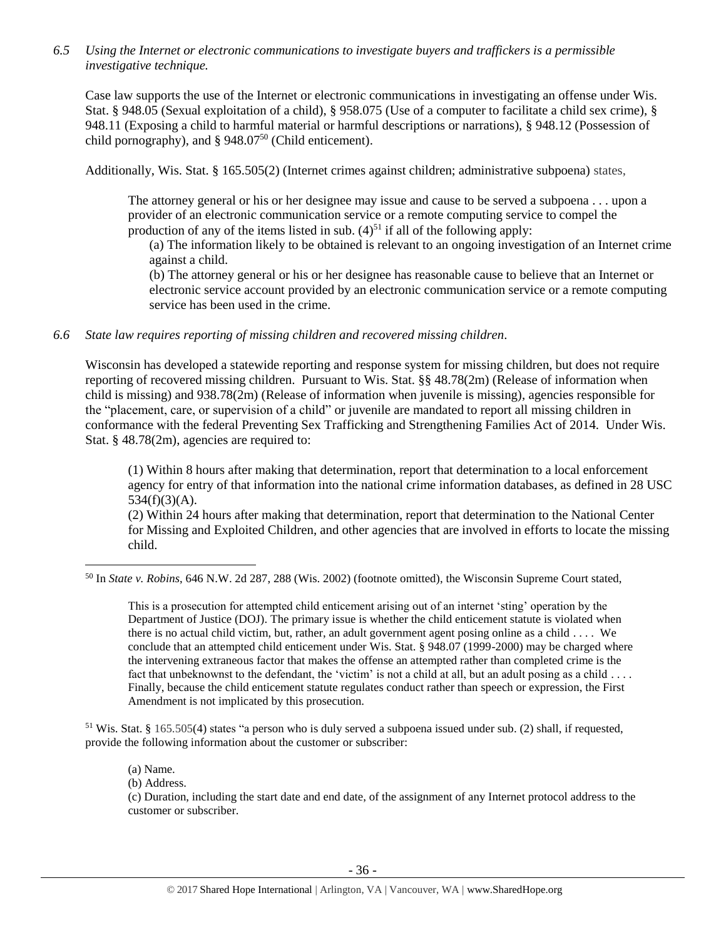*6.5 Using the Internet or electronic communications to investigate buyers and traffickers is a permissible investigative technique.*

Case law supports the use of the Internet or electronic communications in investigating an offense under Wis. Stat. § 948.05 (Sexual exploitation of a child), § 958.075 (Use of a computer to facilitate a child sex crime), § 948.11 (Exposing a child to harmful material or harmful descriptions or narrations), § 948.12 (Possession of child pornography), and § 948.07<sup>50</sup> (Child enticement).

Additionally, Wis. Stat. § 165.505(2) (Internet crimes against children; administrative subpoena) states,

The attorney general or his or her designee may issue and cause to be served a subpoena . . . upon a provider of an electronic communication service or a remote computing service to compel the production of any of the items listed in sub.  $(4)^{51}$  if all of the following apply:

(a) The information likely to be obtained is relevant to an ongoing investigation of an Internet crime against a child.

(b) The attorney general or his or her designee has reasonable cause to believe that an Internet or electronic service account provided by an electronic communication service or a remote computing service has been used in the crime.

*6.6 State law requires reporting of missing children and recovered missing children.*

Wisconsin has developed a statewide reporting and response system for missing children, but does not require reporting of recovered missing children. Pursuant to Wis. Stat. §§ 48.78(2m) (Release of information when child is missing) and 938.78(2m) (Release of information when juvenile is missing), agencies responsible for the "placement, care, or supervision of a child" or juvenile are mandated to report all missing children in conformance with the federal Preventing Sex Trafficking and Strengthening Families Act of 2014. Under Wis. Stat. § 48.78(2m), agencies are required to:

(1) Within 8 hours after making that determination, report that determination to a local enforcement agency for entry of that information into the national crime information databases, as defined in 28 USC  $534(f)(3)(A)$ .

(2) Within 24 hours after making that determination, report that determination to the National Center for Missing and Exploited Children, and other agencies that are involved in efforts to locate the missing child.

This is a prosecution for attempted child enticement arising out of an internet 'sting' operation by the Department of Justice (DOJ). The primary issue is whether the child enticement statute is violated when there is no actual child victim, but, rather, an adult government agent posing online as a child . . . . We conclude that an attempted child enticement under Wis. Stat. § 948.07 (1999-2000) may be charged where the intervening extraneous factor that makes the offense an attempted rather than completed crime is the fact that unbeknownst to the defendant, the 'victim' is not a child at all, but an adult posing as a child . . . . Finally, because the child enticement statute regulates conduct rather than speech or expression, the First Amendment is not implicated by this prosecution.

 $51$  Wis. Stat. § 165.505(4) states "a person who is duly served a subpoena issued under sub. (2) shall, if requested, provide the following information about the customer or subscriber:

(a) Name.

l

(b) Address.

(c) Duration, including the start date and end date, of the assignment of any Internet protocol address to the customer or subscriber.

<sup>50</sup> In *State v. Robins*, 646 N.W. 2d 287, 288 (Wis. 2002) (footnote omitted), the Wisconsin Supreme Court stated,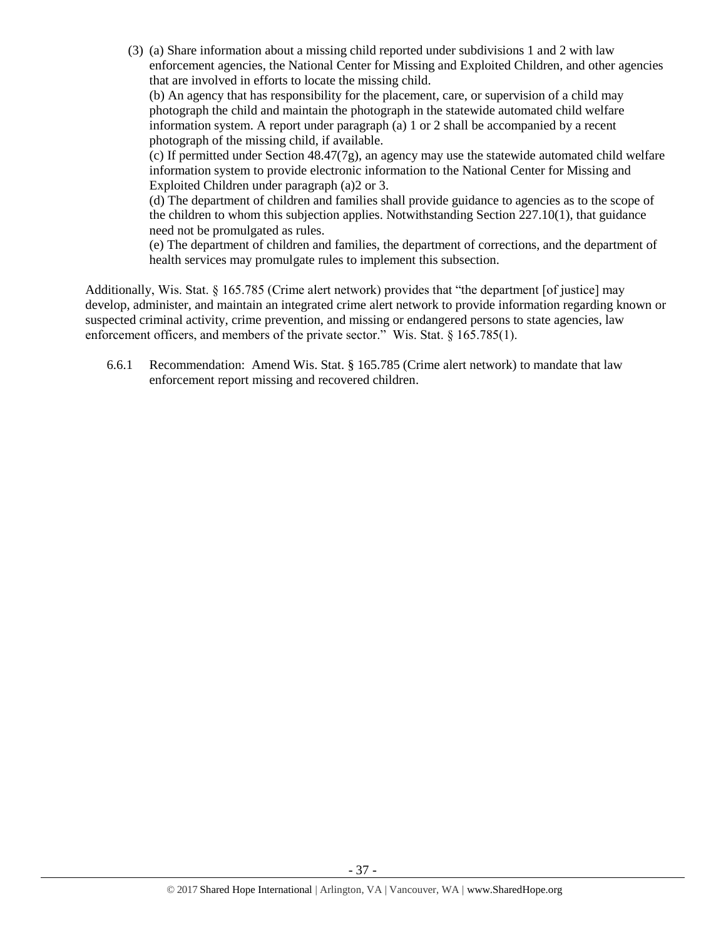(3) (a) Share information about a missing child reported under subdivisions 1 and 2 with law enforcement agencies, the National Center for Missing and Exploited Children, and other agencies that are involved in efforts to locate the missing child.

(b) An agency that has responsibility for the placement, care, or supervision of a child may photograph the child and maintain the photograph in the statewide automated child welfare information system. A report under paragraph (a) 1 or 2 shall be accompanied by a recent photograph of the missing child, if available.

(c) If permitted under Section 48.47(7g), an agency may use the statewide automated child welfare information system to provide electronic information to the National Center for Missing and Exploited Children under paragraph (a)2 or 3.

(d) The department of children and families shall provide guidance to agencies as to the scope of the children to whom this subjection applies. Notwithstanding Section 227.10(1), that guidance need not be promulgated as rules.

(e) The department of children and families, the department of corrections, and the department of health services may promulgate rules to implement this subsection.

Additionally, Wis. Stat. § 165.785 (Crime alert network) provides that "the department [of justice] may develop, administer, and maintain an integrated crime alert network to provide information regarding known or suspected criminal activity, crime prevention, and missing or endangered persons to state agencies, law enforcement officers, and members of the private sector." Wis. Stat. § 165.785(1).

6.6.1 Recommendation: Amend Wis. Stat. § 165.785 (Crime alert network) to mandate that law enforcement report missing and recovered children.